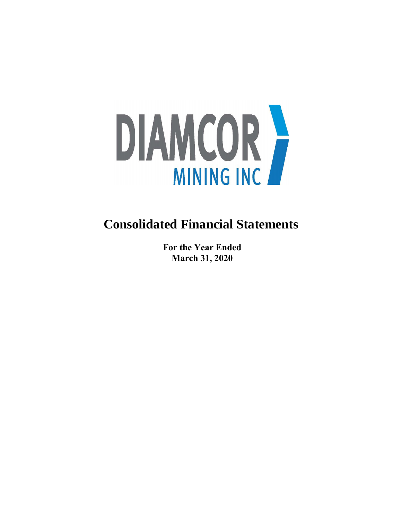

# **Consolidated Financial Statements**

**For the Year Ended March 31, 2020**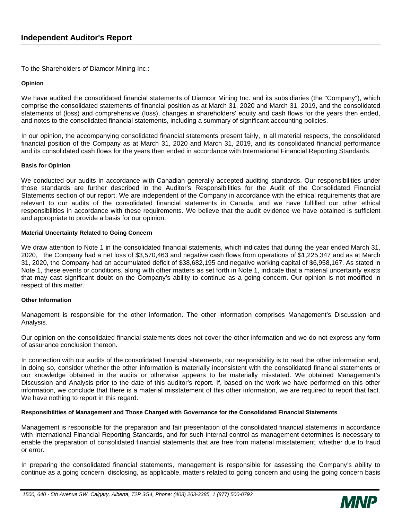To the Shareholders of Diamcor Mining Inc.:

#### **Opinion**

We have audited the consolidated financial statements of Diamcor Mining Inc. and its subsidiaries (the "Company"), which comprise the consolidated statements of financial position as at March 31, 2020 and March 31, 2019, and the consolidated statements of (loss) and comprehensive (loss), changes in shareholders' equity and cash flows for the years then ended, and notes to the consolidated financial statements, including a summary of significant accounting policies.

In our opinion, the accompanying consolidated financial statements present fairly, in all material respects, the consolidated financial position of the Company as at March 31, 2020 and March 31, 2019, and its consolidated financial performance and its consolidated cash flows for the years then ended in accordance with International Financial Reporting Standards.

#### **Basis for Opinion**

We conducted our audits in accordance with Canadian generally accepted auditing standards. Our responsibilities under those standards are further described in the Auditor's Responsibilities for the Audit of the Consolidated Financial Statements section of our report. We are independent of the Company in accordance with the ethical requirements that are relevant to our audits of the consolidated financial statements in Canada, and we have fulfilled our other ethical responsibilities in accordance with these requirements. We believe that the audit evidence we have obtained is sufficient and appropriate to provide a basis for our opinion.

#### **Material Uncertainty Related to Going Concern**

We draw attention to Note 1 in the consolidated financial statements, which indicates that during the year ended March 31, 2020, the Company had a net loss of \$3,570,463 and negative cash flows from operations of \$1,225,347 and as at March 31, 2020, the Company had an accumulated deficit of \$38,682,195 and negative working capital of \$6,958,167. As stated in Note 1, these events or conditions, along with other matters as set forth in Note 1, indicate that a material uncertainty exists that may cast significant doubt on the Company's ability to continue as a going concern. Our opinion is not modified in respect of this matter.

#### **Other Information**

Management is responsible for the other information. The other information comprises Management's Discussion and Analysis.

Our opinion on the consolidated financial statements does not cover the other information and we do not express any form of assurance conclusion thereon.

In connection with our audits of the consolidated financial statements, our responsibility is to read the other information and, in doing so, consider whether the other information is materially inconsistent with the consolidated financial statements or our knowledge obtained in the audits or otherwise appears to be materially misstated. We obtained Management's Discussion and Analysis prior to the date of this auditor's report. If, based on the work we have performed on this other information, we conclude that there is a material misstatement of this other information, we are required to report that fact. We have nothing to report in this regard.

#### **Responsibilities of Management and Those Charged with Governance for the Consolidated Financial Statements**

Management is responsible for the preparation and fair presentation of the consolidated financial statements in accordance with International Financial Reporting Standards, and for such internal control as management determines is necessary to enable the preparation of consolidated financial statements that are free from material misstatement, whether due to fraud or error.

In preparing the consolidated financial statements, management is responsible for assessing the Company's ability to continue as a going concern, disclosing, as applicable, matters related to going concern and using the going concern basis

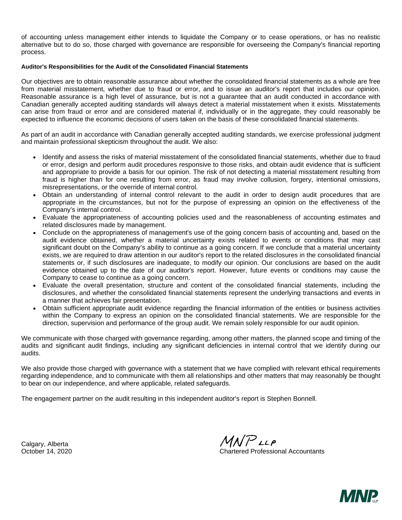of accounting unless management either intends to liquidate the Company or to cease operations, or has no realistic alternative but to do so, those charged with governance are responsible for overseeing the Company's financial reporting process.

#### **Auditor's Responsibilities for the Audit of the Consolidated Financial Statements**

Our objectives are to obtain reasonable assurance about whether the consolidated financial statements as a whole are free from material misstatement, whether due to fraud or error, and to issue an auditor's report that includes our opinion. Reasonable assurance is a high level of assurance, but is not a guarantee that an audit conducted in accordance with Canadian generally accepted auditing standards will always detect a material misstatement when it exists. Misstatements can arise from fraud or error and are considered material if, individually or in the aggregate, they could reasonably be expected to influence the economic decisions of users taken on the basis of these consolidated financial statements.

As part of an audit in accordance with Canadian generally accepted auditing standards, we exercise professional judgment and maintain professional skepticism throughout the audit. We also:

- Identify and assess the risks of material misstatement of the consolidated financial statements, whether due to fraud or error, design and perform audit procedures responsive to those risks, and obtain audit evidence that is sufficient and appropriate to provide a basis for our opinion. The risk of not detecting a material misstatement resulting from fraud is higher than for one resulting from error, as fraud may involve collusion, forgery, intentional omissions, misrepresentations, or the override of internal control.
- Obtain an understanding of internal control relevant to the audit in order to design audit procedures that are appropriate in the circumstances, but not for the purpose of expressing an opinion on the effectiveness of the Company's internal control.
- Evaluate the appropriateness of accounting policies used and the reasonableness of accounting estimates and related disclosures made by management.
- Conclude on the appropriateness of management's use of the going concern basis of accounting and, based on the audit evidence obtained, whether a material uncertainty exists related to events or conditions that may cast significant doubt on the Company's ability to continue as a going concern. If we conclude that a material uncertainty exists, we are required to draw attention in our auditor's report to the related disclosures in the consolidated financial statements or, if such disclosures are inadequate, to modify our opinion. Our conclusions are based on the audit evidence obtained up to the date of our auditor's report. However, future events or conditions may cause the Company to cease to continue as a going concern.
- Evaluate the overall presentation, structure and content of the consolidated financial statements, including the disclosures, and whether the consolidated financial statements represent the underlying transactions and events in a manner that achieves fair presentation.
- Obtain sufficient appropriate audit evidence regarding the financial information of the entities or business activities within the Company to express an opinion on the consolidated financial statements. We are responsible for the direction, supervision and performance of the group audit. We remain solely responsible for our audit opinion.

We communicate with those charged with governance regarding, among other matters, the planned scope and timing of the audits and significant audit findings, including any significant deficiencies in internal control that we identify during our audits.

We also provide those charged with governance with a statement that we have complied with relevant ethical requirements regarding independence, and to communicate with them all relationships and other matters that may reasonably be thought to bear on our independence, and where applicable, related safeguards.

The engagement partner on the audit resulting in this independent auditor's report is Stephen Bonnell.

Calgary, Alberta<br>October 14, 2020

 $MNP$ LLP

Chartered Professional Accountants

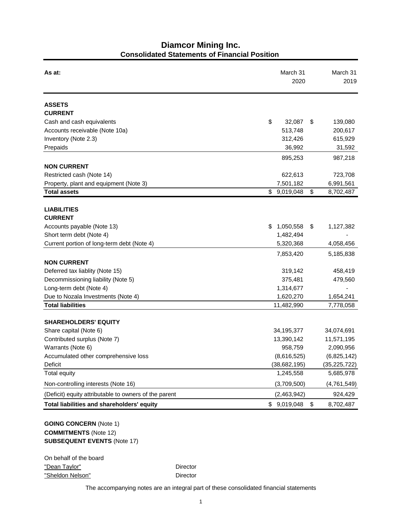## **Diamcor Mining Inc. Consolidated Statements of Financial Position**

| As at:                                                | March 31<br>2020            | March 31<br>2019            |
|-------------------------------------------------------|-----------------------------|-----------------------------|
| <b>ASSETS</b>                                         |                             |                             |
| <b>CURRENT</b>                                        |                             |                             |
| Cash and cash equivalents                             | \$<br>32,087                | \$<br>139,080               |
| Accounts receivable (Note 10a)                        | 513,748                     | 200,617                     |
| Inventory (Note 2.3)                                  | 312,426                     | 615,929                     |
| Prepaids                                              | 36,992                      | 31,592                      |
|                                                       | 895,253                     | 987,218                     |
| <b>NON CURRENT</b>                                    |                             |                             |
| Restricted cash (Note 14)                             | 622,613                     | 723,708                     |
| Property, plant and equipment (Note 3)                | 7,501,182                   | 6,991,561                   |
| <b>Total assets</b>                                   | \$<br>9,019,048             | \$<br>8,702,487             |
|                                                       |                             |                             |
| <b>LIABILITIES</b>                                    |                             |                             |
| <b>CURRENT</b>                                        |                             |                             |
| Accounts payable (Note 13)                            | 1,050,558<br>\$             | \$<br>1,127,382             |
| Short term debt (Note 4)                              | 1,482,494                   |                             |
| Current portion of long-term debt (Note 4)            | 5,320,368                   | 4,058,456                   |
|                                                       | 7,853,420                   | 5,185,838                   |
| <b>NON CURRENT</b>                                    |                             |                             |
| Deferred tax liablity (Note 15)                       | 319,142                     | 458,419                     |
| Decommissioning liability (Note 5)                    | 375,481                     | 479,560                     |
| Long-term debt (Note 4)                               | 1,314,677                   |                             |
| Due to Nozala Investments (Note 4)                    | 1,620,270                   | 1,654,241                   |
| <b>Total liabilities</b>                              | 11,482,990                  | 7,778,058                   |
|                                                       |                             |                             |
| <b>SHAREHOLDERS' EQUITY</b>                           |                             |                             |
| Share capital (Note 6)                                | 34,195,377                  | 34,074,691                  |
| Contributed surplus (Note 7)                          | 13,390,142                  | 11,571,195                  |
| Warrants (Note 6)                                     | 958,759                     | 2,090,956                   |
| Accumulated other comprehensive loss<br>Deficit       | (8,616,525)                 | (6,825,142)                 |
| <b>Total equity</b>                                   | (38, 682, 195)<br>1,245,558 | (35, 225, 722)<br>5,685,978 |
|                                                       |                             |                             |
| Non-controlling interests (Note 16)                   | (3,709,500)                 | (4,761,549)                 |
| (Deficit) equity attributable to owners of the parent | (2,463,942)                 | 924,429                     |
| Total liabilities and shareholders' equity            | 9,019,048<br>\$             | \$<br>8,702,487             |
|                                                       |                             |                             |

## **GOING CONCERN** (Note 1) **COMMITMENTS** (Note 12) **SUBSEQUENT EVENTS** (Note 17)

On behalf of the board "Dean Taylor" **Director** Director "Sheldon Nelson" Director

The accompanying notes are an integral part of these consolidated financial statements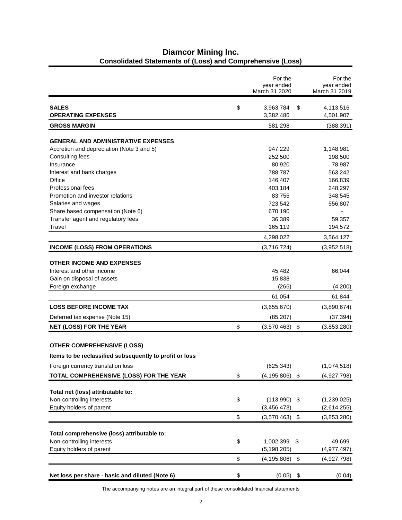|                                                         | For the<br>year ended<br>March 31 2020 | For the<br>year ended<br>March 31 2019 |
|---------------------------------------------------------|----------------------------------------|----------------------------------------|
| <b>SALES</b>                                            | \$<br>3,963,784                        | \$<br>4,113,516                        |
| <b>OPERATING EXPENSES</b>                               | 3,382,486                              | 4,501,907                              |
| <b>GROSS MARGIN</b>                                     | 581,298                                | (388, 391)                             |
| <b>GENERAL AND ADMINISTRATIVE EXPENSES</b>              |                                        |                                        |
| Accretion and depreciation (Note 3 and 5)               | 947,229                                | 1,148,981                              |
| Consulting fees                                         | 252,500                                | 198,500                                |
| Insurance                                               | 80,920                                 | 78,987                                 |
| Interest and bank charges                               | 788,787                                | 563,242                                |
| Office                                                  | 146,407                                | 166,839                                |
| <b>Professional fees</b>                                | 403,184                                | 248,297                                |
| Promotion and investor relations                        | 83,755                                 | 348,545                                |
| Salaries and wages                                      | 723,542                                | 556,807                                |
| Share based compensation (Note 6)                       | 670,190                                |                                        |
| Transfer agent and regulatory fees                      | 36,389                                 | 59,357                                 |
| Travel                                                  | 165,119                                | 194,572                                |
|                                                         | 4,298,022                              | 3,564,127                              |
| <b>INCOME (LOSS) FROM OPERATIONS</b>                    | (3,716,724)                            | (3,952,518)                            |
| <b>OTHER INCOME AND EXPENSES</b>                        |                                        |                                        |
| Interest and other income                               | 45,482                                 | 66,044                                 |
| Gain on disposal of assets                              | 15,838                                 |                                        |
| Foreign exchange                                        | (266)                                  | (4,200)                                |
|                                                         | 61,054                                 | 61,844                                 |
| <b>LOSS BEFORE INCOME TAX</b>                           | (3,655,670)                            | (3,890,674)                            |
| Deferred tax expense (Note 15)                          | (85, 207)                              | (37, 394)                              |
| <b>NET (LOSS) FOR THE YEAR</b>                          | \$<br>(3,570,463)                      | \$<br>(3,853,280)                      |
|                                                         |                                        |                                        |
| <b>OTHER COMPREHENSIVE (LOSS)</b>                       |                                        |                                        |
| Items to be reclassified subsequently to profit or loss |                                        |                                        |
| Foreign currency translation loss                       | (625, 343)                             | (1,074,518)                            |
| TOTAL COMPREHENSIVE (LOSS) FOR THE YEAR                 | \$<br>(4, 195, 806)                    | \$<br>(4,927,798)                      |
| Total net (loss) attributable to:                       |                                        |                                        |
| Non-controlling interests                               | \$<br>(113,990)                        | \$<br>(1, 239, 025)                    |
| Equity holders of parent                                | (3,456,473)                            | (2,614,255)                            |
|                                                         | \$<br>(3,570,463)                      | \$<br>(3,853,280)                      |
| Total comprehensive (loss) attributable to:             |                                        |                                        |
| Non-controlling interests                               | \$<br>1,002,399                        | \$<br>49,699                           |
| Equity holders of parent                                | (5, 198, 205)                          | (4,977,497)                            |
|                                                         | \$<br>(4, 195, 806)                    | \$<br>(4,927,798)                      |
|                                                         |                                        |                                        |
| Net loss per share - basic and diluted (Note 6)         | \$<br>(0.05)                           | \$<br>(0.04)                           |

## **Diamcor Mining Inc. Consolidated Statements of (Loss) and Comprehensive (Loss)**

The accompanying notes are an integral part of these consolidated financial statements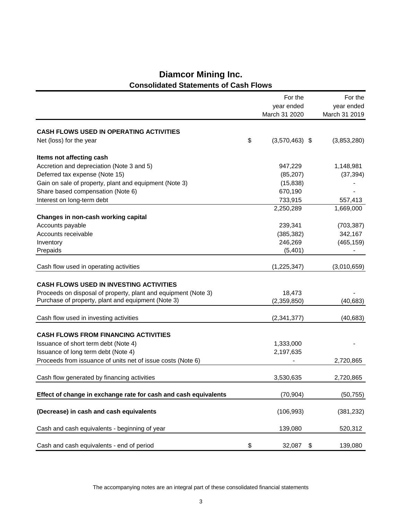| <b>Consolidated Statements of Cash Flows</b>                    |    |                       |                       |  |  |  |  |
|-----------------------------------------------------------------|----|-----------------------|-----------------------|--|--|--|--|
|                                                                 |    | For the<br>year ended | For the<br>year ended |  |  |  |  |
|                                                                 |    | March 31 2020         | March 31 2019         |  |  |  |  |
| <b>CASH FLOWS USED IN OPERATING ACTIVITIES</b>                  |    |                       |                       |  |  |  |  |
| Net (loss) for the year                                         | \$ | $(3,570,463)$ \$      | (3,853,280)           |  |  |  |  |
|                                                                 |    |                       |                       |  |  |  |  |
| Items not affecting cash                                        |    |                       |                       |  |  |  |  |
| Accretion and depreciation (Note 3 and 5)                       |    | 947,229               | 1,148,981             |  |  |  |  |
| Deferred tax expense (Note 15)                                  |    | (85, 207)             | (37, 394)             |  |  |  |  |
| Gain on sale of property, plant and equipment (Note 3)          |    | (15, 838)             |                       |  |  |  |  |
| Share based compensation (Note 6)                               |    | 670,190               |                       |  |  |  |  |
| Interest on long-term debt                                      |    | 733,915               | 557,413               |  |  |  |  |
|                                                                 |    | 2,250,289             | 1,669,000             |  |  |  |  |
| Changes in non-cash working capital                             |    |                       |                       |  |  |  |  |
| Accounts payable                                                |    | 239,341               | (703, 387)            |  |  |  |  |
| Accounts receivable                                             |    | (385, 382)            | 342,167               |  |  |  |  |
| Inventory                                                       |    | 246,269               | (465, 159)            |  |  |  |  |
| Prepaids                                                        |    | (5,401)               |                       |  |  |  |  |
| Cash flow used in operating activities                          |    | (1,225,347)           | (3,010,659)           |  |  |  |  |
|                                                                 |    |                       |                       |  |  |  |  |
| <b>CASH FLOWS USED IN INVESTING ACTIVITIES</b>                  |    |                       |                       |  |  |  |  |
| Proceeds on disposal of property, plant and equipment (Note 3)  |    | 18,473                |                       |  |  |  |  |
| Purchase of property, plant and equipment (Note 3)              |    | (2,359,850)           | (40, 683)             |  |  |  |  |
|                                                                 |    |                       |                       |  |  |  |  |
| Cash flow used in investing activities                          |    | (2, 341, 377)         | (40, 683)             |  |  |  |  |
| <b>CASH FLOWS FROM FINANCING ACTIVITIES</b>                     |    |                       |                       |  |  |  |  |
| Issuance of short term debt (Note 4)                            |    | 1,333,000             |                       |  |  |  |  |
| Issuance of long term debt (Note 4)                             |    | 2,197,635             |                       |  |  |  |  |
| Proceeds from issuance of units net of issue costs (Note 6)     |    |                       | 2,720,865             |  |  |  |  |
|                                                                 |    |                       |                       |  |  |  |  |
| Cash flow generated by financing activities                     |    | 3,530,635             | 2,720,865             |  |  |  |  |
| Effect of change in exchange rate for cash and cash equivalents |    | (70, 904)             | (50, 755)             |  |  |  |  |
|                                                                 |    |                       |                       |  |  |  |  |
| (Decrease) in cash and cash equivalents                         |    | (106, 993)            | (381, 232)            |  |  |  |  |
| Cash and cash equivalents - beginning of year                   |    | 139,080               | 520,312               |  |  |  |  |
|                                                                 |    |                       |                       |  |  |  |  |
| Cash and cash equivalents - end of period                       | \$ | 32,087 \$             | 139,080               |  |  |  |  |

## **Diamcor Mining Inc.**

The accompanying notes are an integral part of these consolidated financial statements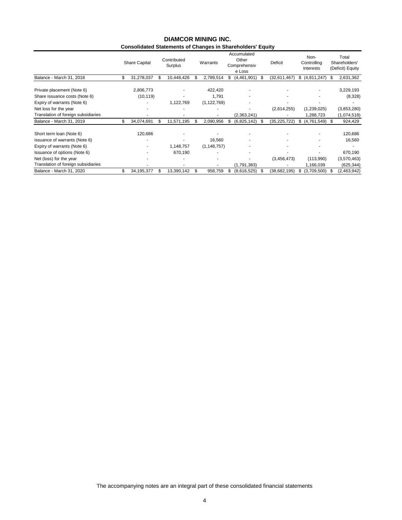| <b>DIAMCOR MINING INC.</b>                                 |  |
|------------------------------------------------------------|--|
| Consolidated Statements of Changes in Shareholders' Equity |  |

|                                     | <b>Share Capital</b> | Contributed<br>Surplus | Warrants        |    | Accumulated<br>Other<br>Comprehensiv<br>e Loss | Deficit            | Non-<br>Controlling<br>Interests |     | Total<br>Shareholders'<br>(Deficit) Equity |
|-------------------------------------|----------------------|------------------------|-----------------|----|------------------------------------------------|--------------------|----------------------------------|-----|--------------------------------------------|
| Balance - March 31, 2018            | \$<br>31,278,037     | \$<br>10,448,426       | \$<br>2,789,514 | \$ | (4,461,901)                                    | \$<br>(32,611,467) | \$ (4,811,247)                   | S   | 2,631,362                                  |
| Private placement (Note 6)          | 2,806,773            |                        | 422,420         |    |                                                |                    |                                  |     | 3,229,193                                  |
| Share issuance costs (Note 6)       | (10, 119)            |                        | 1,791           |    |                                                |                    |                                  |     | (8,328)                                    |
| Expiry of warrants (Note 6)         |                      | 1,122,769              | (1, 122, 769)   |    |                                                |                    |                                  |     |                                            |
| Net loss for the year               |                      |                        |                 |    |                                                | (2,614,255)        | (1,239,025)                      |     | (3,853,280)                                |
| Translation of foreign subsidiaries |                      |                        |                 |    | (2,363,241)                                    |                    | 1,288,723                        |     | (1,074,518)                                |
| Balance - March 31, 2019            | \$<br>34,074,691     | 11,571,195             | \$<br>2,090,956 |    | (6,825,142)                                    | (35, 225, 722)     | (4,761,549)                      | \$. | 924,429                                    |
| Short term loan (Note 6)            | 120,686              |                        |                 |    |                                                |                    |                                  |     | 120,686                                    |
| issuance of warrants (Note 6)       |                      |                        | 16,560          |    |                                                |                    |                                  |     | 16,560                                     |
| Expiry of warrants (Note 6)         |                      | 1,148,757              | (1, 148, 757)   |    |                                                |                    |                                  |     |                                            |
| Issuance of options (Note 6)        |                      | 670,190                |                 |    |                                                |                    |                                  |     | 670,190                                    |
| Net (loss) for the year             |                      |                        |                 |    |                                                | (3,456,473)        | (113,990)                        |     | (3,570,463)                                |
| Translation of foreign subsidiaries |                      |                        |                 |    | (1,791,383)                                    |                    | 1,166,039                        |     | (625, 344)                                 |
| Balance - March 31, 2020            | \$<br>34, 195, 377   | 13,390,142             | \$<br>958,759   | S  | (8,616,525)                                    | (38,682,195)       | (3,709,500)<br>\$                |     | (2,463,942)                                |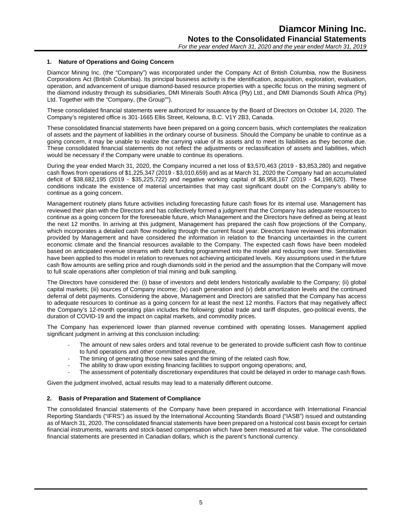#### **1. Nature of Operations and Going Concern**

Diamcor Mining Inc. (the "Company") was incorporated under the Company Act of British Columbia, now the Business Corporations Act (British Columbia). Its principal business activity is the identification, acquisition, exploration, evaluation, operation, and advancement of unique diamond-based resource properties with a specific focus on the mining segment of the diamond industry through its subsidiaries, DMI Minerals South Africa (Pty) Ltd., and DMI Diamonds South Africa (Pty) Ltd. Together with the "Company, (the Group"").

These consolidated financial statements were authorized for issuance by the Board of Directors on October 14, 2020. The Company's registered office is 301-1665 Ellis Street, Kelowna, B.C. V1Y 2B3, Canada.

These consolidated financial statements have been prepared on a going concern basis, which contemplates the realization of assets and the payment of liabilities in the ordinary course of business. Should the Company be unable to continue as a going concern, it may be unable to realize the carrying value of its assets and to meet its liabilities as they become due. These consolidated financial statements do not reflect the adjustments or reclassification of assets and liabilities, which would be necessary if the Company were unable to continue its operations.

During the year ended March 31, 2020, the Company incurred a net loss of \$3,570,463 (2019 - \$3,853,280) and negative cash flows from operations of \$1,225,347 (2019 - \$3,010,659) and as at March 31, 2020 the Company had an accumulated deficit of \$38,682,195 (2019 - \$35,225,722) and negative working capital of \$6,958,167 (2019 - \$4,198,620). These conditions indicate the existence of material uncertainties that may cast significant doubt on the Company's ability to continue as a going concern.

Management routinely plans future activities including forecasting future cash flows for its internal use. Management has reviewed their plan with the Directors and has collectively formed a judgment that the Company has adequate resources to continue as a going concern for the foreseeable future, which Management and the Directors have defined as being at least the next 12 months. In arriving at this judgment, Management has prepared the cash flow projections of the Company, which incorporates a detailed cash flow modeling through the current fiscal year. Directors have reviewed this information provided by Management and have considered the information in relation to the financing uncertainties in the current economic climate and the financial resources available to the Company. The expected cash flows have been modeled based on anticipated revenue streams with debt funding programmed into the model and reducing over time. Sensitivities have been applied to this model in relation to revenues not achieving anticipated levels. Key assumptions used in the future cash flow amounts are selling price and rough diamonds sold in the period and the assumption that the Company will move to full scale operations after completion of trial mining and bulk sampling.

The Directors have considered the: (i) base of investors and debt lenders historically available to the Company; (ii) global capital markets; (iii) sources of Company income; (iv) cash generation and (v) debt amortization levels and the continued deferral of debt payments. Considering the above, Management and Directors are satisfied that the Company has access to adequate resources to continue as a going concern for at least the next 12 months. Factors that may negatively affect the Company's 12-month operating plan includes the following: global trade and tariff disputes, geo-political events, the duration of COVID-19 and the impact on capital markets, and commodity prices.

The Company has experienced lower than planned revenue combined with operating losses. Management applied significant judgment in arriving at this conclusion including:

- The amount of new sales orders and total revenue to be generated to provide sufficient cash flow to continue to fund operations and other committed expenditure,
- The timing of generating those new sales and the timing of the related cash flow,
- The ability to draw upon existing financing facilities to support ongoing operations; and,
- The assessment of potentially discretionary expenditures that could be delayed in order to manage cash flows.

Given the judgment involved, actual results may lead to a materially different outcome.

#### **2. Basis of Preparation and Statement of Compliance**

The consolidated financial statements of the Company have been prepared in accordance with International Financial Reporting Standards ("IFRS") as issued by the International Accounting Standards Board ("IASB") issued and outstanding as of March 31, 2020. The consolidated financial statements have been prepared on a historical cost basis except for certain financial instruments, warrants and stock-based compensation which have been measured at fair value. The consolidated financial statements are presented in Canadian dollars, which is the parent's functional currency.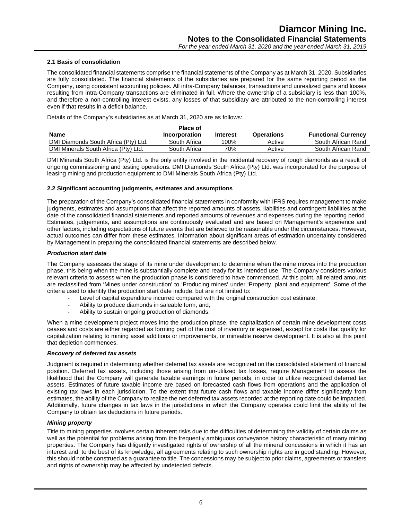#### **2.1 Basis of consolidation**

The consolidated financial statements comprise the financial statements of the Company as at March 31, 2020. Subsidiaries are fully consolidated. The financial statements of the subsidiaries are prepared for the same reporting period as the Company, using consistent accounting policies. All intra-Company balances, transactions and unrealized gains and losses resulting from intra-Company transactions are eliminated in full. Where the ownership of a subsidiary is less than 100%, and therefore a non-controlling interest exists, any losses of that subsidiary are attributed to the non-controlling interest even if that results in a deficit balance.

Details of the Company's subsidiaries as at March 31, 2020 are as follows:

|                                      | <b>Place of</b> |                 |                   |                            |
|--------------------------------------|-----------------|-----------------|-------------------|----------------------------|
| <b>Name</b>                          | Incorporation   | <b>Interest</b> | <b>Operations</b> | <b>Functional Currency</b> |
| DMI Diamonds South Africa (Pty) Ltd. | South Africa    | 100%            | Active            | South African Rand         |
| DMI Minerals South Africa (Pty) Ltd. | South Africa    | 70%             | Active            | South African Rand         |

DMI Minerals South Africa (Pty) Ltd. is the only entity involved in the incidental recovery of rough diamonds as a result of ongoing commissioning and testing operations. DMI Diamonds South Africa (Pty) Ltd. was incorporated for the purpose of leasing mining and production equipment to DMI Minerals South Africa (Pty) Ltd.

#### **2.2 Significant accounting judgments, estimates and assumptions**

The preparation of the Company's consolidated financial statements in conformity with IFRS requires management to make judgments, estimates and assumptions that affect the reported amounts of assets, liabilities and contingent liabilities at the date of the consolidated financial statements and reported amounts of revenues and expenses during the reporting period. Estimates, judgements, and assumptions are continuously evaluated and are based on Management's experience and other factors, including expectations of future events that are believed to be reasonable under the circumstances. However, actual outcomes can differ from these estimates. Information about significant areas of estimation uncertainty considered by Management in preparing the consolidated financial statements are described below.

#### *Production start date*

The Company assesses the stage of its mine under development to determine when the mine moves into the production phase, this being when the mine is substantially complete and ready for its intended use. The Company considers various relevant criteria to assess when the production phase is considered to have commenced. At this point, all related amounts are reclassified from 'Mines under construction' to 'Producing mines' under 'Property, plant and equipment'. Some of the criteria used to identify the production start date include, but are not limited to:

- Level of capital expenditure incurred compared with the original construction cost estimate;
- Ability to produce diamonds in saleable form; and,
- Ability to sustain ongoing production of diamonds.

When a mine development project moves into the production phase, the capitalization of certain mine development costs ceases and costs are either regarded as forming part of the cost of inventory or expensed, except for costs that qualify for capitalization relating to mining asset additions or improvements, or mineable reserve development. It is also at this point that depletion commences.

#### *Recovery of deferred tax assets*

Judgment is required in determining whether deferred tax assets are recognized on the consolidated statement of financial position. Deferred tax assets, including those arising from un-utilized tax losses, require Management to assess the likelihood that the Company will generate taxable earnings in future periods, in order to utilize recognized deferred tax assets. Estimates of future taxable income are based on forecasted cash flows from operations and the application of existing tax laws in each jurisdiction. To the extent that future cash flows and taxable income differ significantly from estimates, the ability of the Company to realize the net deferred tax assets recorded at the reporting date could be impacted. Additionally, future changes in tax laws in the jurisdictions in which the Company operates could limit the ability of the Company to obtain tax deductions in future periods.

#### *Mining property*

Title to mining properties involves certain inherent risks due to the difficulties of determining the validity of certain claims as well as the potential for problems arising from the frequently ambiguous conveyance history characteristic of many mining properties. The Company has diligently investigated rights of ownership of all the mineral concessions in which it has an interest and, to the best of its knowledge, all agreements relating to such ownership rights are in good standing. However, this should not be construed as a guarantee to title. The concessions may be subject to prior claims, agreements or transfers and rights of ownership may be affected by undetected defects.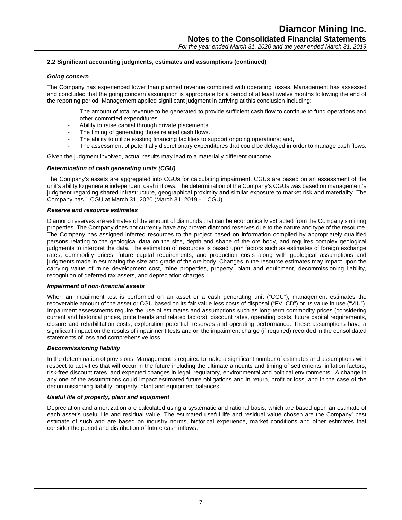#### **2.2 Significant accounting judgments, estimates and assumptions (continued)**

#### *Going concern*

The Company has experienced lower than planned revenue combined with operating losses. Management has assessed and concluded that the going concern assumption is appropriate for a period of at least twelve months following the end of the reporting period. Management applied significant judgment in arriving at this conclusion including:

- The amount of total revenue to be generated to provide sufficient cash flow to continue to fund operations and other committed expenditures.
- Ability to raise capital through private placements.
- The timing of generating those related cash flows.
- The ability to utilize existing financing facilities to support ongoing operations; and,
- The assessment of potentially discretionary expenditures that could be delayed in order to manage cash flows.

Given the judgment involved, actual results may lead to a materially different outcome.

#### *Determination of cash generating units (CGU)*

The Company's assets are aggregated into CGUs for calculating impairment. CGUs are based on an assessment of the unit's ability to generate independent cash inflows. The determination of the Company's CGUs was based on management's judgment regarding shared infrastructure, geographical proximity and similar exposure to market risk and materiality. The Company has 1 CGU at March 31, 2020 (March 31, 2019 - 1 CGU).

#### *Reserve and resource estimates*

Diamond reserves are estimates of the amount of diamonds that can be economically extracted from the Company's mining properties. The Company does not currently have any proven diamond reserves due to the nature and type of the resource. The Company has assigned inferred resources to the project based on information compiled by appropriately qualified persons relating to the geological data on the size, depth and shape of the ore body, and requires complex geological judgments to interpret the data. The estimation of resources is based upon factors such as estimates of foreign exchange rates, commodity prices, future capital requirements, and production costs along with geological assumptions and judgments made in estimating the size and grade of the ore body. Changes in the resource estimates may impact upon the carrying value of mine development cost, mine properties, property, plant and equipment, decommissioning liability, recognition of deferred tax assets, and depreciation charges.

#### *Impairment of non-financial assets*

When an impairment test is performed on an asset or a cash generating unit ("CGU"), management estimates the recoverable amount of the asset or CGU based on its fair value less costs of disposal ("FVLCD") or its value in use ("VIU"). Impairment assessments require the use of estimates and assumptions such as long-term commodity prices (considering current and historical prices, price trends and related factors), discount rates, operating costs, future capital requirements, closure and rehabilitation costs, exploration potential, reserves and operating performance. These assumptions have a significant impact on the results of impairment tests and on the impairment charge (if required) recorded in the consolidated statements of loss and comprehensive loss.

#### *Decommissioning liability*

In the determination of provisions, Management is required to make a significant number of estimates and assumptions with respect to activities that will occur in the future including the ultimate amounts and timing of settlements, inflation factors, risk-free discount rates, and expected changes in legal, regulatory, environmental and political environments. A change in any one of the assumptions could impact estimated future obligations and in return, profit or loss, and in the case of the decommissioning liability, property, plant and equipment balances.

#### *Useful life of property, plant and equipment*

Depreciation and amortization are calculated using a systematic and rational basis, which are based upon an estimate of each asset's useful life and residual value. The estimated useful life and residual value chosen are the Company' best estimate of such and are based on industry norms, historical experience, market conditions and other estimates that consider the period and distribution of future cash inflows.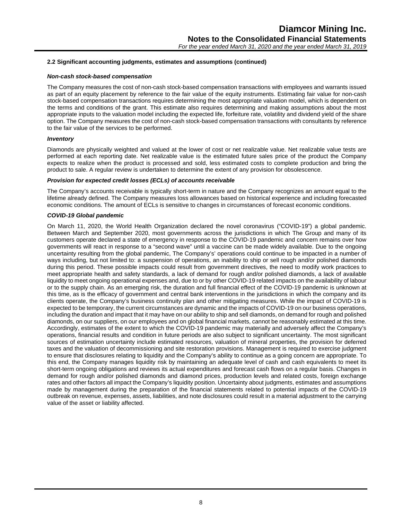#### **2.2 Significant accounting judgments, estimates and assumptions (continued)**

#### *Non-cash stock-based compensation*

The Company measures the cost of non-cash stock-based compensation transactions with employees and warrants issued as part of an equity placement by reference to the fair value of the equity instruments. Estimating fair value for non-cash stock-based compensation transactions requires determining the most appropriate valuation model, which is dependent on the terms and conditions of the grant. This estimate also requires determining and making assumptions about the most appropriate inputs to the valuation model including the expected life, forfeiture rate, volatility and dividend yield of the share option. The Company measures the cost of non-cash stock-based compensation transactions with consultants by reference to the fair value of the services to be performed.

#### *Inventory*

Diamonds are physically weighted and valued at the lower of cost or net realizable value. Net realizable value tests are performed at each reporting date. Net realizable value is the estimated future sales price of the product the Company expects to realize when the product is processed and sold, less estimated costs to complete production and bring the product to sale. A regular review is undertaken to determine the extent of any provision for obsolescence.

#### *Provision for expected credit losses (ECLs) of accounts receivable*

The Company's accounts receivable is typically short-term in nature and the Company recognizes an amount equal to the lifetime already defined. The Company measures loss allowances based on historical experience and including forecasted economic conditions. The amount of ECLs is sensitive to changes in circumstances of forecast economic conditions.

#### *COVID-19 Global pandemic*

On March 11, 2020, the World Health Organization declared the novel coronavirus ("COVID-19") a global pandemic. Between March and September 2020, most governments across the jurisdictions in which The Group and many of its customers operate declared a state of emergency in response to the COVID-19 pandemic and concern remains over how governments will react in response to a "second wave" until a vaccine can be made widely available. Due to the ongoing uncertainty resulting from the global pandemic, The Company's' operations could continue to be impacted in a number of ways including, but not limited to: a suspension of operations, an inability to ship or sell rough and/or polished diamonds during this period. These possible impacts could result from government directives, the need to modify work practices to meet appropriate health and safety standards, a lack of demand for rough and/or polished diamonds, a lack of available liquidity to meet ongoing operational expenses and, due to or by other COVID-19 related impacts on the availability of labour or to the supply chain. As an emerging risk, the duration and full financial effect of the COVID-19 pandemic is unknown at this time, as is the efficacy of government and central bank interventions in the jurisdictions in which the company and its clients operate, the Company's business continuity plan and other mitigating measures. While the impact of COVID-19 is expected to be temporary, the current circumstances are dynamic and the impacts of COVID-19 on our business operations, including the duration and impact that it may have on our ability to ship and sell diamonds, on demand for rough and polished diamonds, on our suppliers, on our employees and on global financial markets, cannot be reasonably estimated at this time. Accordingly, estimates of the extent to which the COVID-19 pandemic may materially and adversely affect the Company's operations, financial results and condition in future periods are also subject to significant uncertainty. The most significant sources of estimation uncertainty include estimated resources, valuation of mineral properties, the provision for deferred taxes and the valuation of decommissioning and site restoration provisions. Management is required to exercise judgment to ensure that disclosures relating to liquidity and the Company's ability to continue as a going concern are appropriate. To this end, the Company manages liquidity risk by maintaining an adequate level of cash and cash equivalents to meet its short-term ongoing obligations and reviews its actual expenditures and forecast cash flows on a regular basis. Changes in demand for rough and/or polished diamonds and diamond prices, production levels and related costs, foreign exchange rates and other factors all impact the Company's liquidity position. Uncertainty about judgments, estimates and assumptions made by management during the preparation of the financial statements related to potential impacts of the COVID-19 outbreak on revenue, expenses, assets, liabilities, and note disclosures could result in a material adjustment to the carrying value of the asset or liability affected.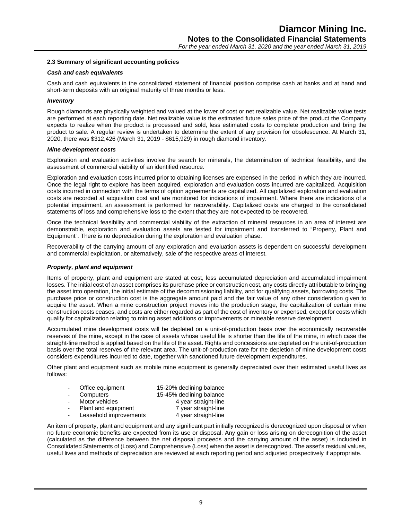#### **2.3 Summary of significant accounting policies**

#### *Cash and cash equivalents*

Cash and cash equivalents in the consolidated statement of financial position comprise cash at banks and at hand and short-term deposits with an original maturity of three months or less.

#### *Inventory*

Rough diamonds are physically weighted and valued at the lower of cost or net realizable value. Net realizable value tests are performed at each reporting date. Net realizable value is the estimated future sales price of the product the Company expects to realize when the product is processed and sold, less estimated costs to complete production and bring the product to sale. A regular review is undertaken to determine the extent of any provision for obsolescence. At March 31, 2020, there was \$312,426 (March 31, 2019 - \$615,929) in rough diamond inventory.

#### *Mine development costs*

Exploration and evaluation activities involve the search for minerals, the determination of technical feasibility, and the assessment of commercial viability of an identified resource.

Exploration and evaluation costs incurred prior to obtaining licenses are expensed in the period in which they are incurred. Once the legal right to explore has been acquired, exploration and evaluation costs incurred are capitalized. Acquisition costs incurred in connection with the terms of option agreements are capitalized. All capitalized exploration and evaluation costs are recorded at acquisition cost and are monitored for indications of impairment. Where there are indications of a potential impairment, an assessment is performed for recoverability. Capitalized costs are charged to the consolidated statements of loss and comprehensive loss to the extent that they are not expected to be recovered.

Once the technical feasibility and commercial viability of the extraction of mineral resources in an area of interest are demonstrable, exploration and evaluation assets are tested for impairment and transferred to "Property, Plant and Equipment". There is no depreciation during the exploration and evaluation phase.

Recoverability of the carrying amount of any exploration and evaluation assets is dependent on successful development and commercial exploitation, or alternatively, sale of the respective areas of interest.

#### *Property, plant and equipment*

Items of property, plant and equipment are stated at cost, less accumulated depreciation and accumulated impairment losses. The initial cost of an asset comprises its purchase price or construction cost, any costs directly attributable to bringing the asset into operation, the initial estimate of the decommissioning liability, and for qualifying assets, borrowing costs. The purchase price or construction cost is the aggregate amount paid and the fair value of any other consideration given to acquire the asset. When a mine construction project moves into the production stage, the capitalization of certain mine construction costs ceases, and costs are either regarded as part of the cost of inventory or expensed, except for costs which qualify for capitalization relating to mining asset additions or improvements or mineable reserve development.

Accumulated mine development costs will be depleted on a unit-of-production basis over the economically recoverable reserves of the mine, except in the case of assets whose useful life is shorter than the life of the mine, in which case the straight-line method is applied based on the life of the asset. Rights and concessions are depleted on the unit-of-production basis over the total reserves of the relevant area. The unit-of-production rate for the depletion of mine development costs considers expenditures incurred to date, together with sanctioned future development expenditures.

Other plant and equipment such as mobile mine equipment is generally depreciated over their estimated useful lives as follows:

| Office equipment       | 15-20% declining balance |
|------------------------|--------------------------|
| Computers              | 15-45% declining balance |
| Motor vehicles         | 4 year straight-line     |
| Plant and equipment    | 7 year straight-line     |
| Leasehold improvements | 4 year straight-line     |
|                        |                          |

An item of property, plant and equipment and any significant part initially recognized is derecognized upon disposal or when no future economic benefits are expected from its use or disposal. Any gain or loss arising on derecognition of the asset (calculated as the difference between the net disposal proceeds and the carrying amount of the asset) is included in Consolidated Statements of (Loss) and Comprehensive (Loss) when the asset is derecognized. The asset's residual values, useful lives and methods of depreciation are reviewed at each reporting period and adjusted prospectively if appropriate.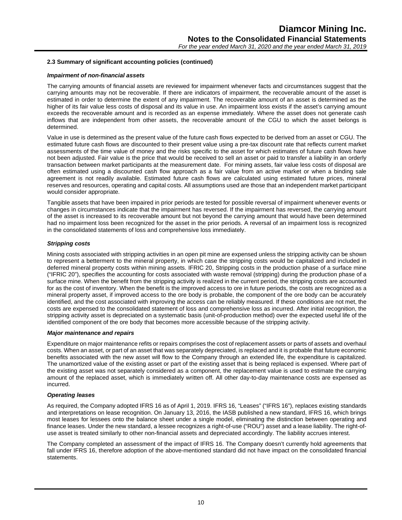#### *Impairment of non-financial assets*

The carrying amounts of financial assets are reviewed for impairment whenever facts and circumstances suggest that the carrying amounts may not be recoverable. If there are indicators of impairment, the recoverable amount of the asset is estimated in order to determine the extent of any impairment. The recoverable amount of an asset is determined as the higher of its fair value less costs of disposal and its value in use. An impairment loss exists if the asset's carrying amount exceeds the recoverable amount and is recorded as an expense immediately. Where the asset does not generate cash inflows that are independent from other assets, the recoverable amount of the CGU to which the asset belongs is determined.

Value in use is determined as the present value of the future cash flows expected to be derived from an asset or CGU. The estimated future cash flows are discounted to their present value using a pre-tax discount rate that reflects current market assessments of the time value of money and the risks specific to the asset for which estimates of future cash flows have not been adjusted. Fair value is the price that would be received to sell an asset or paid to transfer a liability in an orderly transaction between market participants at the measurement date. For mining assets, fair value less costs of disposal are often estimated using a discounted cash flow approach as a fair value from an active market or when a binding sale agreement is not readily available. Estimated future cash flows are calculated using estimated future prices, mineral reserves and resources, operating and capital costs. All assumptions used are those that an independent market participant would consider appropriate.

Tangible assets that have been impaired in prior periods are tested for possible reversal of impairment whenever events or changes in circumstances indicate that the impairment has reversed. If the impairment has reversed, the carrying amount of the asset is increased to its recoverable amount but not beyond the carrying amount that would have been determined had no impairment loss been recognized for the asset in the prior periods. A reversal of an impairment loss is recognized in the consolidated statements of loss and comprehensive loss immediately.

#### *Stripping costs*

Mining costs associated with stripping activities in an open pit mine are expensed unless the stripping activity can be shown to represent a betterment to the mineral property, in which case the stripping costs would be capitalized and included in deferred mineral property costs within mining assets. IFRIC 20, Stripping costs in the production phase of a surface mine ("IFRIC 20"), specifies the accounting for costs associated with waste removal (stripping) during the production phase of a surface mine. When the benefit from the stripping activity is realized in the current period, the stripping costs are accounted for as the cost of inventory. When the benefit is the improved access to ore in future periods, the costs are recognized as a mineral property asset, if improved access to the ore body is probable, the component of the ore body can be accurately identified, and the cost associated with improving the access can be reliably measured. If these conditions are not met, the costs are expensed to the consolidated statement of loss and comprehensive loss as incurred. After initial recognition, the stripping activity asset is depreciated on a systematic basis (unit-of-production method) over the expected useful life of the identified component of the ore body that becomes more accessible because of the stripping activity.

#### *Major maintenance and repairs*

Expenditure on major maintenance refits or repairs comprises the cost of replacement assets or parts of assets and overhaul costs. When an asset, or part of an asset that was separately depreciated, is replaced and it is probable that future economic benefits associated with the new asset will flow to the Company through an extended life, the expenditure is capitalized. The unamortized value of the existing asset or part of the existing asset that is being replaced is expensed. Where part of the existing asset was not separately considered as a component, the replacement value is used to estimate the carrying amount of the replaced asset, which is immediately written off. All other day-to-day maintenance costs are expensed as incurred.

#### *Operating leases*

As required, the Company adopted IFRS 16 as of April 1, 2019. IFRS 16, "Leases" ("IFRS 16"), replaces existing standards and interpretations on lease recognition. On January 13, 2016, the IASB published a new standard, IFRS 16, which brings most leases for lessees onto the balance sheet under a single model, eliminating the distinction between operating and finance leases. Under the new standard, a lessee recognizes a right-of-use ("ROU") asset and a lease liability. The right-ofuse asset is treated similarly to other non-financial assets and depreciated accordingly. The liability accrues interest.

The Company completed an assessment of the impact of IFRS 16. The Company doesn't currently hold agreements that fall under IFRS 16, therefore adoption of the above-mentioned standard did not have impact on the consolidated financial statements.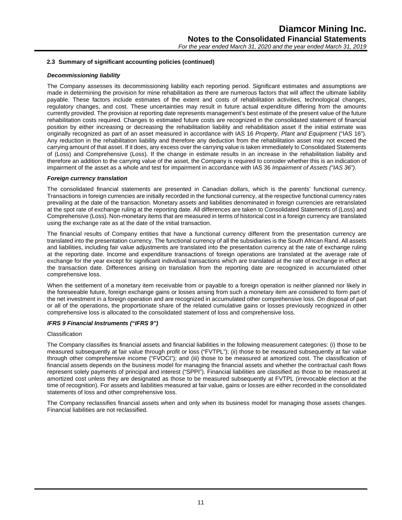#### *Decommissioning liability*

The Company assesses its decommissioning liability each reporting period. Significant estimates and assumptions are made in determining the provision for mine rehabilitation as there are numerous factors that will affect the ultimate liability payable. These factors include estimates of the extent and costs of rehabilitation activities, technological changes, regulatory changes, and cost. These uncertainties may result in future actual expenditure differing from the amounts currently provided. The provision at reporting date represents management's best estimate of the present value of the future rehabilitation costs required. Changes to estimated future costs are recognized in the consolidated statement of financial position by either increasing or decreasing the rehabilitation liability and rehabilitation asset if the initial estimate was originally recognized as part of an asset measured in accordance with IAS 16 *Property, Plant and Equipment* ("IAS 16"). Any reduction in the rehabilitation liability and therefore any deduction from the rehabilitation asset may not exceed the carrying amount of that asset. If it does, any excess over the carrying value is taken immediately to Consolidated Statements of (Loss) and Comprehensive (Loss). If the change in estimate results in an increase in the rehabilitation liability and therefore an addition to the carrying value of the asset, the Company is required to consider whether this is an indication of impairment of the asset as a whole and test for impairment in accordance with IAS 36 *Impairment of Assets ("IAS 36")*.

#### *Foreign currency translation*

The consolidated financial statements are presented in Canadian dollars, which is the parents' functional currency. Transactions in foreign currencies are initially recorded in the functional currency, at the respective functional currency rates prevailing at the date of the transaction. Monetary assets and liabilities denominated in foreign currencies are retranslated at the spot rate of exchange ruling at the reporting date. All differences are taken to Consolidated Statements of (Loss) and Comprehensive (Loss). Non-monetary items that are measured in terms of historical cost in a foreign currency are translated using the exchange rate as at the date of the initial transaction.

The financial results of Company entities that have a functional currency different from the presentation currency are translated into the presentation currency. The functional currency of all the subsidiaries is the South African Rand. All assets and liabilities, including fair value adjustments are translated into the presentation currency at the rate of exchange ruling at the reporting date. Income and expenditure transactions of foreign operations are translated at the average rate of exchange for the year except for significant individual transactions which are translated at the rate of exchange in effect at the transaction date. Differences arising on translation from the reporting date are recognized in accumulated other comprehensive loss.

When the settlement of a monetary item receivable from or payable to a foreign operation is neither planned nor likely in the foreseeable future, foreign exchange gains or losses arising from such a monetary item are considered to form part of the net investment in a foreign operation and are recognized in accumulated other comprehensive loss. On disposal of part or all of the operations, the proportionate share of the related cumulative gains or losses previously recognized in other comprehensive loss is allocated to the consolidated statement of loss and comprehensive loss.

#### *IFRS 9 Financial Instruments ("IFRS 9")*

#### Classification

The Company classifies its financial assets and financial liabilities in the following measurement categories: (i) those to be measured subsequently at fair value through profit or loss ("FVTPL"); (ii) those to be measured subsequently at fair value through other comprehensive income ("FVOCI"); and (iii) those to be measured at amortized cost. The classification of financial assets depends on the business model for managing the financial assets and whether the contractual cash flows represent solely payments of principal and interest ("SPPI"). Financial liabilities are classified as those to be measured at amortized cost unless they are designated as those to be measured subsequently at FVTPL (irrevocable election at the time of recognition). For assets and liabilities measured at fair value, gains or losses are either recorded in the consolidated statements of loss and other comprehensive loss.

The Company reclassifies financial assets when and only when its business model for managing those assets changes. Financial liabilities are not reclassified.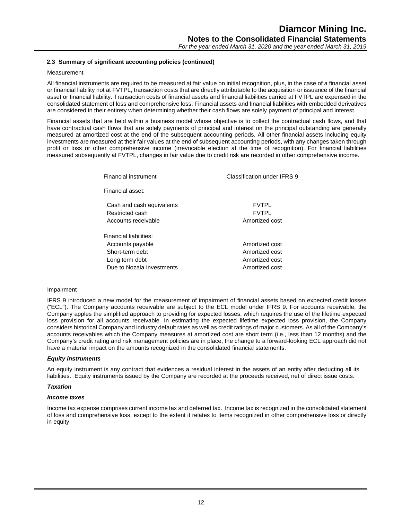#### Measurement

All financial instruments are required to be measured at fair value on initial recognition, plus, in the case of a financial asset or financial liability not at FVTPL, transaction costs that are directly attributable to the acquisition or issuance of the financial asset or financial liability. Transaction costs of financial assets and financial liabilities carried at FVTPL are expensed in the consolidated statement of loss and comprehensive loss. Financial assets and financial liabilities with embedded derivatives are considered in their entirety when determining whether their cash flows are solely payment of principal and interest.

Financial assets that are held within a business model whose objective is to collect the contractual cash flows, and that have contractual cash flows that are solely payments of principal and interest on the principal outstanding are generally measured at amortized cost at the end of the subsequent accounting periods. All other financial assets including equity investments are measured at their fair values at the end of subsequent accounting periods, with any changes taken through profit or loss or other comprehensive income (irrevocable election at the time of recognition). For financial liabilities measured subsequently at FVTPL, changes in fair value due to credit risk are recorded in other comprehensive income.

| Financial instrument      | Classification under IFRS 9 |
|---------------------------|-----------------------------|
| Financial asset:          |                             |
| Cash and cash equivalents | <b>FVTPL</b>                |
| Restricted cash           | <b>FVTPL</b>                |
| Accounts receivable       | Amortized cost              |
| Financial liabilities:    |                             |
| Accounts payable          | Amortized cost              |
| Short-term debt           | Amortized cost              |
| Long term debt            | Amortized cost              |
| Due to Nozala Investments | Amortized cost              |

#### Impairment

IFRS 9 introduced a new model for the measurement of impairment of financial assets based on expected credit losses ("ECL"). The Company accounts receivable are subject to the ECL model under IFRS 9. For accounts receivable, the Company apples the simplified approach to providing for expected losses, which requires the use of the lifetime expected loss provision for all accounts receivable. In estimating the expected lifetime expected loss provision, the Company considers historical Company and industry default rates as well as credit ratings of major customers. As all of the Company's accounts receivables which the Company measures at amortized cost are short term (i.e., less than 12 months) and the Company's credit rating and risk management policies are in place, the change to a forward-looking ECL approach did not have a material impact on the amounts recognized in the consolidated financial statements.

#### *Equity instruments*

An equity instrument is any contract that evidences a residual interest in the assets of an entity after deducting all its liabilities. Equity instruments issued by the Company are recorded at the proceeds received, net of direct issue costs.

#### *Taxation*

#### *Income taxes*

Income tax expense comprises current income tax and deferred tax. Income tax is recognized in the consolidated statement of loss and comprehensive loss, except to the extent it relates to items recognized in other comprehensive loss or directly in equity.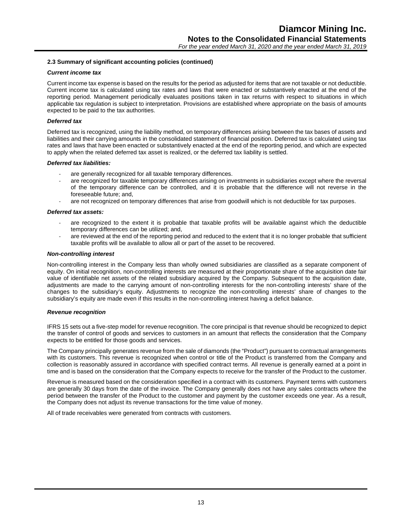#### *Current income tax*

Current income tax expense is based on the results for the period as adjusted for items that are not taxable or not deductible. Current income tax is calculated using tax rates and laws that were enacted or substantively enacted at the end of the reporting period. Management periodically evaluates positions taken in tax returns with respect to situations in which applicable tax regulation is subject to interpretation. Provisions are established where appropriate on the basis of amounts expected to be paid to the tax authorities.

#### *Deferred tax*

Deferred tax is recognized, using the liability method, on temporary differences arising between the tax bases of assets and liabilities and their carrying amounts in the consolidated statement of financial position. Deferred tax is calculated using tax rates and laws that have been enacted or substantively enacted at the end of the reporting period, and which are expected to apply when the related deferred tax asset is realized, or the deferred tax liability is settled.

#### *Deferred tax liabilities:*

- are generally recognized for all taxable temporary differences.
- are recognized for taxable temporary differences arising on investments in subsidiaries except where the reversal of the temporary difference can be controlled, and it is probable that the difference will not reverse in the foreseeable future; and,
- are not recognized on temporary differences that arise from goodwill which is not deductible for tax purposes.

#### *Deferred tax assets:*

- are recognized to the extent it is probable that taxable profits will be available against which the deductible temporary differences can be utilized; and,
- are reviewed at the end of the reporting period and reduced to the extent that it is no longer probable that sufficient taxable profits will be available to allow all or part of the asset to be recovered.

#### *Non-controlling interest*

Non-controlling interest in the Company less than wholly owned subsidiaries are classified as a separate component of equity. On initial recognition, non-controlling interests are measured at their proportionate share of the acquisition date fair value of identifiable net assets of the related subsidiary acquired by the Company. Subsequent to the acquisition date, adjustments are made to the carrying amount of non-controlling interests for the non-controlling interests' share of the changes to the subsidiary's equity. Adjustments to recognize the non-controlling interests' share of changes to the subsidiary's equity are made even if this results in the non-controlling interest having a deficit balance.

#### *Revenue recognition*

IFRS 15 sets out a five-step model for revenue recognition. The core principal is that revenue should be recognized to depict the transfer of control of goods and services to customers in an amount that reflects the consideration that the Company expects to be entitled for those goods and services.

The Company principally generates revenue from the sale of diamonds (the "Product") pursuant to contractual arrangements with its customers. This revenue is recognized when control or title of the Product is transferred from the Company and collection is reasonably assured in accordance with specified contract terms. All revenue is generally earned at a point in time and is based on the consideration that the Company expects to receive for the transfer of the Product to the customer.

Revenue is measured based on the consideration specified in a contract with its customers. Payment terms with customers are generally 30 days from the date of the invoice. The Company generally does not have any sales contracts where the period between the transfer of the Product to the customer and payment by the customer exceeds one year. As a result, the Company does not adjust its revenue transactions for the time value of money.

All of trade receivables were generated from contracts with customers.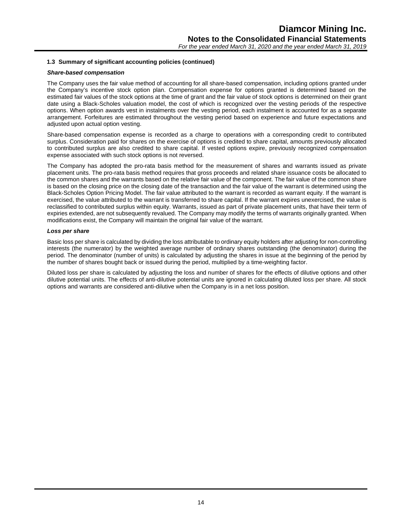#### *Share-based compensation*

The Company uses the fair value method of accounting for all share-based compensation, including options granted under the Company's incentive stock option plan. Compensation expense for options granted is determined based on the estimated fair values of the stock options at the time of grant and the fair value of stock options is determined on their grant date using a Black-Scholes valuation model, the cost of which is recognized over the vesting periods of the respective options. When option awards vest in instalments over the vesting period, each instalment is accounted for as a separate arrangement. Forfeitures are estimated throughout the vesting period based on experience and future expectations and adjusted upon actual option vesting.

Share-based compensation expense is recorded as a charge to operations with a corresponding credit to contributed surplus. Consideration paid for shares on the exercise of options is credited to share capital, amounts previously allocated to contributed surplus are also credited to share capital. If vested options expire, previously recognized compensation expense associated with such stock options is not reversed.

The Company has adopted the pro-rata basis method for the measurement of shares and warrants issued as private placement units. The pro-rata basis method requires that gross proceeds and related share issuance costs be allocated to the common shares and the warrants based on the relative fair value of the component. The fair value of the common share is based on the closing price on the closing date of the transaction and the fair value of the warrant is determined using the Black-Scholes Option Pricing Model. The fair value attributed to the warrant is recorded as warrant equity. If the warrant is exercised, the value attributed to the warrant is transferred to share capital. If the warrant expires unexercised, the value is reclassified to contributed surplus within equity. Warrants, issued as part of private placement units, that have their term of expiries extended, are not subsequently revalued. The Company may modify the terms of warrants originally granted. When modifications exist, the Company will maintain the original fair value of the warrant.

#### *Loss per share*

Basic loss per share is calculated by dividing the loss attributable to ordinary equity holders after adjusting for non-controlling interests (the numerator) by the weighted average number of ordinary shares outstanding (the denominator) during the period. The denominator (number of units) is calculated by adjusting the shares in issue at the beginning of the period by the number of shares bought back or issued during the period, multiplied by a time-weighting factor.

Diluted loss per share is calculated by adjusting the loss and number of shares for the effects of dilutive options and other dilutive potential units. The effects of anti-dilutive potential units are ignored in calculating diluted loss per share. All stock options and warrants are considered anti-dilutive when the Company is in a net loss position.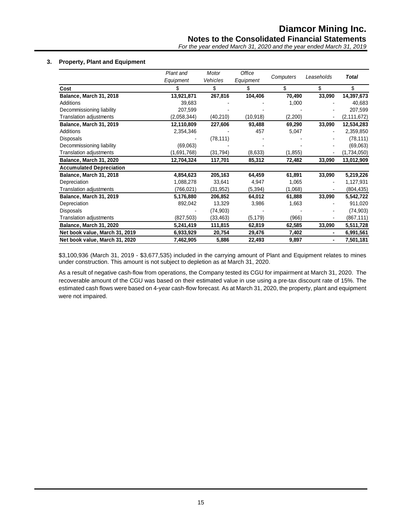*For the year ended March 31, 2020 and the year ended March 31, 2019* 

#### **3. Property, Plant and Equipment**

|                                 | Plant and   | Motor     | Office    | Computers | Leaseholds     | <b>Total</b>  |
|---------------------------------|-------------|-----------|-----------|-----------|----------------|---------------|
|                                 | Equipment   | Vehicles  | Equipment |           |                |               |
| Cost                            | \$          | \$        | \$        | \$        | \$             | \$            |
| Balance, March 31, 2018         | 13,921,871  | 267,816   | 104,406   | 70,490    | 33,090         | 14,397,673    |
| Additions                       | 39,683      |           |           | 1,000     |                | 40,683        |
| Decommissioning liability       | 207,599     |           |           |           |                | 207,599       |
| Translation adjustments         | (2,058,344) | (40,210)  | (10, 918) | (2,200)   | $\blacksquare$ | (2, 111, 672) |
| Balance, March 31, 2019         | 12,110,809  | 227,606   | 93,488    | 69,290    | 33,090         | 12,534,283    |
| Additions                       | 2,354,346   |           | 457       | 5,047     |                | 2,359,850     |
| <b>Disposals</b>                |             | (78, 111) |           |           |                | (78, 111)     |
| Decommissioning liability       | (69,063)    |           |           |           |                | (69,063)      |
| Translation adjustments         | (1,691,768) | (31, 794) | (8,633)   | (1, 855)  | $\blacksquare$ | (1,734,050)   |
| Balance, March 31, 2020         | 12,704,324  | 117,701   | 85,312    | 72,482    | 33,090         | 13,012,909    |
| <b>Accumulated Depreciation</b> |             |           |           |           |                |               |
| Balance, March 31, 2018         | 4,854,623   | 205,163   | 64,459    | 61,891    | 33,090         | 5,219,226     |
| Depreciation                    | 1,088,278   | 33,641    | 4,947     | 1,065     |                | 1,127,931     |
| <b>Translation adjustments</b>  | (766, 021)  | (31, 952) | (5, 394)  | (1,068)   |                | (804, 435)    |
| Balance, March 31, 2019         | 5,176,880   | 206,852   | 64,012    | 61,888    | 33,090         | 5,542,722     |
| Depreciation                    | 892,042     | 13,329    | 3,986     | 1,663     |                | 911,020       |
| Disposals                       |             | (74, 903) |           |           |                | (74, 903)     |
| <b>Translation adjustments</b>  | (827, 503)  | (33, 463) | (5, 179)  | (966)     |                | (867, 111)    |
| Balance, March 31, 2020         | 5,241,419   | 111,815   | 62,819    | 62,585    | 33,090         | 5,511,728     |
| Net book value, March 31, 2019  | 6,933,929   | 20,754    | 29,476    | 7,402     | ۰              | 6,991,561     |
| Net book value, March 31, 2020  | 7,462,905   | 5,886     | 22,493    | 9,897     |                | 7,501,181     |

\$3,100,936 (March 31, 2019 - \$3,677,535) included in the carrying amount of Plant and Equipment relates to mines under construction. This amount is not subject to depletion as at March 31, 2020.

As a result of negative cash-flow from operations, the Company tested its CGU for impairment at March 31, 2020. The recoverable amount of the CGU was based on their estimated value in use using a pre-tax discount rate of 15%. The estimated cash flows were based on 4-year cash-flow forecast. As at March 31, 2020, the property, plant and equipment were not impaired.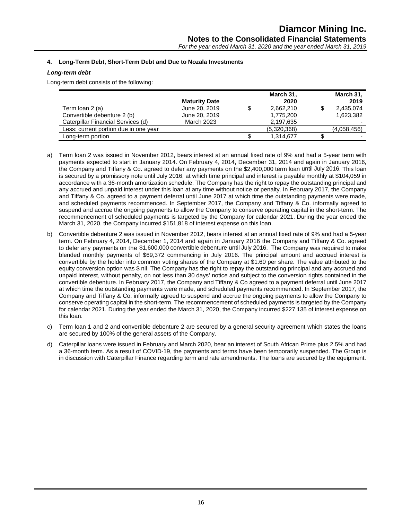#### **4. Long-Term Debt, Short-Term Debt and Due to Nozala Investments**

#### *Long-term debt*

Long-term debt consists of the following:

|                                       |                      | March 31,   | March 31,   |
|---------------------------------------|----------------------|-------------|-------------|
|                                       | <b>Maturity Date</b> | 2020        | 2019        |
| Term Ioan 2 (a)                       | June 20, 2019        | 2,662,210   | 2,435,074   |
| Convertible debenture 2 (b)           | June 20, 2019        | 1,775,200   | 1,623,382   |
| Caterpillar Financial Services (d)    | March 2023           | 2,197,635   |             |
| Less: current portion due in one year |                      | (5,320,368) | (4,058,456) |
| Long-term portion                     |                      | 1,314,677   |             |

- a) Term loan 2 was issued in November 2012, bears interest at an annual fixed rate of 9% and had a 5-year term with payments expected to start in January 2014. On February 4, 2014, December 31, 2014 and again in January 2016, the Company and Tiffany & Co. agreed to defer any payments on the \$2,400,000 term loan until July 2016. This loan is secured by a promissory note until July 2016, at which time principal and interest is payable monthly at \$104,059 in accordance with a 36-month amortization schedule. The Company has the right to repay the outstanding principal and any accrued and unpaid interest under this loan at any time without notice or penalty. In February 2017, the Company and Tiffany & Co. agreed to a payment deferral until June 2017 at which time the outstanding payments were made, and scheduled payments recommenced. In September 2017, the Company and Tiffany & Co. informally agreed to suspend and accrue the ongoing payments to allow the Company to conserve operating capital in the short-term. The recommencement of scheduled payments is targeted by the Company for calendar 2021. During the year ended the March 31, 2020, the Company incurred \$151,818 of interest expense on this loan.
- b) Convertible debenture 2 was issued in November 2012, bears interest at an annual fixed rate of 9% and had a 5-year term. On February 4, 2014, December 1, 2014 and again in January 2016 the Company and Tiffany & Co. agreed to defer any payments on the \$1,600,000 convertible debenture until July 2016. The Company was required to make blended monthly payments of \$69,372 commencing in July 2016. The principal amount and accrued interest is convertible by the holder into common voting shares of the Company at \$1.60 per share. The value attributed to the equity conversion option was \$ nil. The Company has the right to repay the outstanding principal and any accrued and unpaid interest, without penalty, on not less than 30 days' notice and subject to the conversion rights contained in the convertible debenture. In February 2017, the Company and Tiffany & Co agreed to a payment deferral until June 2017 at which time the outstanding payments were made, and scheduled payments recommenced. In September 2017, the Company and Tiffany & Co. informally agreed to suspend and accrue the ongoing payments to allow the Company to conserve operating capital in the short-term. The recommencement of scheduled payments is targeted by the Company for calendar 2021. During the year ended the March 31, 2020, the Company incurred \$227,135 of interest expense on this loan.
- c) Term loan 1 and 2 and convertible debenture 2 are secured by a general security agreement which states the loans are secured by 100% of the general assets of the Company.
- d) Caterpillar loans were issued in February and March 2020, bear an interest of South African Prime plus 2.5% and had a 36-month term. As a result of COVID-19, the payments and terms have been temporarily suspended. The Group is in discussion with Caterpillar Finance regarding term and rate amendments. The loans are secured by the equipment.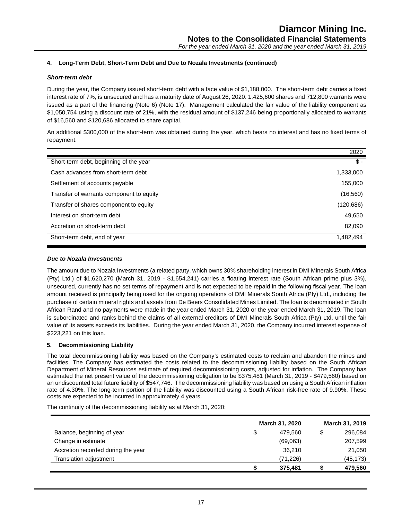#### **4. Long-Term Debt, Short-Term Debt and Due to Nozala Investments (continued)**

#### *Short-term debt*

During the year, the Company issued short-term debt with a face value of \$1,188,000. The short-term debt carries a fixed interest rate of 7%, is unsecured and has a maturity date of August 26, 2020. 1,425,600 shares and 712,800 warrants were issued as a part of the financing (Note 6) (Note 17). Management calculated the fair value of the liability component as \$1,050,754 using a discount rate of 21%, with the residual amount of \$137,246 being proportionally allocated to warrants of \$16,560 and \$120,686 allocated to share capital.

An additional \$300,000 of the short-term was obtained during the year, which bears no interest and has no fixed terms of repayment.

|                                          | 2020          |
|------------------------------------------|---------------|
| Short-term debt, beginning of the year   | $\frac{1}{2}$ |
| Cash advances from short-term debt       | 1,333,000     |
| Settlement of accounts payable           | 155,000       |
| Transfer of warrants component to equity | (16, 560)     |
| Transfer of shares component to equity   | (120, 686)    |
| Interest on short-term debt              | 49,650        |
| Accretion on short-term debt             | 82,090        |
| Short-term debt, end of year             | 1,482,494     |

#### *Due to Nozala Investments*

The amount due to Nozala Investments (a related party, which owns 30% shareholding interest in DMI Minerals South Africa (Pty) Ltd.) of \$1,620,270 (March 31, 2019 - \$1,654,241) carries a floating interest rate (South African prime plus 3%), unsecured, currently has no set terms of repayment and is not expected to be repaid in the following fiscal year. The loan amount received is principally being used for the ongoing operations of DMI Minerals South Africa (Pty) Ltd., including the purchase of certain mineral rights and assets from De Beers Consolidated Mines Limited. The loan is denominated in South African Rand and no payments were made in the year ended March 31, 2020 or the year ended March 31, 2019. The loan is subordinated and ranks behind the claims of all external creditors of DMI Minerals South Africa (Pty) Ltd, until the fair value of its assets exceeds its liabilities. During the year ended March 31, 2020, the Company incurred interest expense of \$223,221 on this loan.

#### **5. Decommissioning Liability**

The total decommissioning liability was based on the Company's estimated costs to reclaim and abandon the mines and facilities. The Company has estimated the costs related to the decommissioning liability based on the South African Department of Mineral Resources estimate of required decommissioning costs, adjusted for inflation. The Company has estimated the net present value of the decommissioning obligation to be \$375,481 (March 31, 2019 - \$479,560) based on an undiscounted total future liability of \$547,746. The decommissioning liability was based on using a South African inflation rate of 4.30%. The long-term portion of the liability was discounted using a South African risk-free rate of 9.90%. These costs are expected to be incurred in approximately 4 years.

The continuity of the decommissioning liability as at March 31, 2020:

|                                    | March 31, 2020 | March 31, 2019 |
|------------------------------------|----------------|----------------|
| Balance, beginning of year         | \$<br>479.560  | \$<br>296,084  |
| Change in estimate                 | (69,063)       | 207,599        |
| Accretion recorded during the year | 36,210         | 21,050         |
| Translation adjustment             | (71, 226)      | (45, 173)      |
|                                    | 375.481        | 479,560        |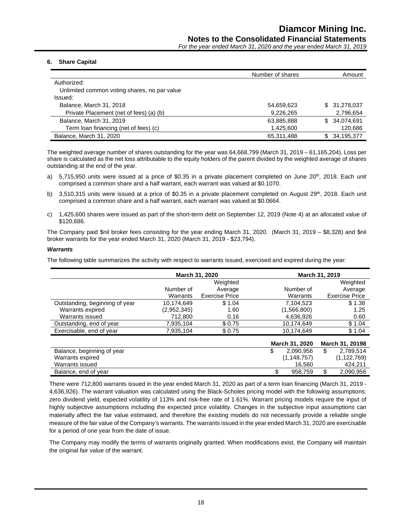*For the year ended March 31, 2020 and the year ended March 31, 2019* 

#### **6. Share Capital**

| Number of shares                             |            | Amount            |
|----------------------------------------------|------------|-------------------|
| Authorized:                                  |            |                   |
| Unlimited common voting shares, no par value |            |                   |
| Issued:                                      |            |                   |
| Balance, March 31, 2018                      | 54,659,623 | 31,278,037<br>SS. |
| Private Placement (net of fees) (a) (b)      | 9,226,265  | 2,796,654         |
| Balance, March 31, 2019                      | 63,885,888 | 34,074,691<br>SS. |
| Term loan financing (net of fees) (c)        | 1,425,600  | 120,686           |
| Balance, March 31, 2020                      | 65,311,488 | 34,195,377        |

The weighted average number of shares outstanding for the year was 64,668,799 (March 31, 2019 – 61,165,204). Loss per share is calculated as the net loss attributable to the equity holders of the parent divided by the weighted average of shares outstanding at the end of the year.

- a) 5,715,950 units were issued at a price of \$0.35 in a private placement completed on June  $20<sup>th</sup>$ , 2018. Each unit comprised a common share and a half warrant, each warrant was valued at \$0.1070.
- b) 3,510,315 units were issued at a price of \$0.35 in a private placement completed on August  $29<sup>th</sup>$ , 2018. Each unit comprised a common share and a half warrant, each warrant was valued at \$0.0664.
- c) 1,425,600 shares were issued as part of the short-term debt on September 12, 2019 (Note 4) at an allocated value of \$120,686.

The Company paid \$nil broker fees consisting for the year ending March 31, 2020. (March 31, 2019 – \$8,328) and \$nil broker warrants for the year ended March 31, 2020 (March 31, 2019 - \$23,794).

#### *Warrants*

The following table summarizes the activity with respect to warrants issued, exercised and expired during the year:

|                                | March 31, 2020 |                       |                | March 31, 2019        |
|--------------------------------|----------------|-----------------------|----------------|-----------------------|
|                                |                | Weighted              |                | Weighted              |
|                                | Number of      | Average               | Number of      | Average               |
|                                | Warrants       | <b>Exercise Price</b> | Warrants       | <b>Exercise Price</b> |
| Outstanding, beginning of year | 10,174,649     | \$1.04                | 7,104,523      | \$1.38                |
| Warrants expired               | (2,952,345)    | 1.60                  | (1,566,800)    | 1.25                  |
| Warrants issued                | 712,800        | 0.16                  | 4,636,926      | 0.60                  |
| Outstanding, end of year       | 7,935,104      | \$0.75                | 10,174,649     | \$1.04                |
| Exercisable, end of year       | 7,935,104      | \$0.75                | 10.174.649     | \$1.04                |
|                                |                |                       | March 31, 2020 | March 31, 20198       |
| Balance, beginning of vear     |                |                       | 2.090.956<br>ፍ | ደ<br>2789514          |

|                            | <b>INGIVII VII LULU</b> | 11141 YII YII ZVIYV |
|----------------------------|-------------------------|---------------------|
| Balance, beginning of year | 2.090.956               | \$<br>2.789.514     |
| Warrants expired           | (1.148.757)             | (1, 122, 769)       |
| Warrants issued            | 16.560                  | 424.211             |
| Balance, end of year       | 958.759                 | \$<br>2,090,956     |

There were 712,800 warrants issued in the year ended March 31, 2020 as part of a term loan financing (March 31, 2019 - 4,636,926). The warrant valuation was calculated using the Black-Scholes pricing model with the following assumptions: zero dividend yield, expected volatility of 113% and risk-free rate of 1.61%. Warrant pricing models require the input of highly subjective assumptions including the expected price volatility. Changes in the subjective input assumptions can materially affect the fair value estimated, and therefore the existing models do not necessarily provide a reliable single measure of the fair value of the Company's warrants. The warrants issued in the year ended March 31, 2020 are exercisable for a period of one year from the date of issue.

The Company may modify the terms of warrants originally granted. When modifications exist, the Company will maintain the original fair value of the warrant.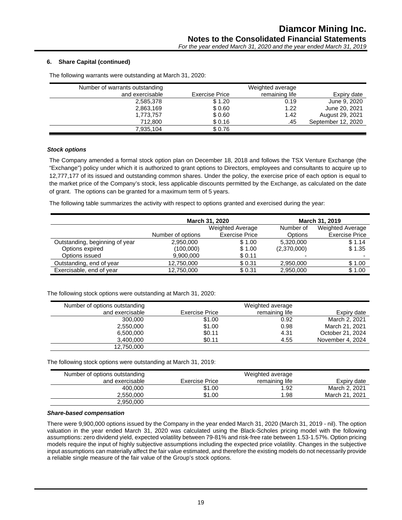#### **6. Share Capital (continued)**

| Number of warrants outstanding |                | Weighted average |                    |
|--------------------------------|----------------|------------------|--------------------|
| and exercisable                | Exercise Price | remaining life   | Expiry date        |
| 2,585,378                      | \$1.20         | 0.19             | June 9, 2020       |
| 2,863,169                      | \$0.60         | 1.22             | June 20, 2021      |
| 1,773,757                      | \$0.60         | 1.42             | August 29, 2021    |
| 712,800                        | \$0.16         | .45              | September 12, 2020 |
| 7,935,104                      | \$0.76         |                  |                    |

The following warrants were outstanding at March 31, 2020:

#### *Stock options*

The Company amended a formal stock option plan on December 18, 2018 and follows the TSX Venture Exchange (the "Exchange") policy under which it is authorized to grant options to Directors, employees and consultants to acquire up to 12,777,177 of its issued and outstanding common shares. Under the policy, the exercise price of each option is equal to the market price of the Company's stock, less applicable discounts permitted by the Exchange, as calculated on the date of grant. The options can be granted for a maximum term of 5 years.

The following table summarizes the activity with respect to options granted and exercised during the year:

|                                |                                                                       | March 31, 2020 |                             | March 31, 2019                            |
|--------------------------------|-----------------------------------------------------------------------|----------------|-----------------------------|-------------------------------------------|
|                                | <b>Weighted Average</b><br><b>Exercise Price</b><br>Number of options |                | Number of<br><b>Options</b> | Weighted Average<br><b>Exercise Price</b> |
| Outstanding, beginning of year | 2,950,000                                                             | \$1.00         | 5,320,000                   | \$1.14                                    |
| Options expired                | (100,000)                                                             | \$1.00         | (2,370,000)                 | \$1.35                                    |
| Options issued                 | 9,900,000                                                             | \$0.11         |                             |                                           |
| Outstanding, end of year       | 12,750,000                                                            | \$0.31         | 2,950,000                   | \$1.00                                    |
| Exercisable, end of year       | 12,750,000                                                            | \$0.31         | 2.950.000                   | \$1.00                                    |

#### The following stock options were outstanding at March 31, 2020:

| Number of options outstanding |                | Weighted average |                  |
|-------------------------------|----------------|------------------|------------------|
| and exercisable               | Exercise Price | remaining life   | Expiry date      |
| 300,000                       | \$1.00         | 0.92             | March 2, 2021    |
| 2,550,000                     | \$1.00         | 0.98             | March 21, 2021   |
| 6,500,000                     | \$0.11         | 4.31             | October 21, 2024 |
| 3,400,000                     | \$0.11         | 4.55             | November 4, 2024 |
| 12,750,000                    |                |                  |                  |

The following stock options were outstanding at March 31, 2019:

| Number of options outstanding |                | Weighted average |                |
|-------------------------------|----------------|------------------|----------------|
| and exercisable               | Exercise Price | remaining life   | Expiry date    |
| 400.000                       | \$1.00         | 1.92             | March 2, 2021  |
| 2.550.000                     | \$1.00         | 1.98             | March 21, 2021 |
| 2,950,000                     |                |                  |                |

#### *Share-based compensation*

There were 9,900,000 options issued by the Company in the year ended March 31, 2020 (March 31, 2019 - nil). The option valuation in the year ended March 31, 2020 was calculated using the Black-Scholes pricing model with the following assumptions: zero dividend yield, expected volatility between 79-81% and risk-free rate between 1.53-1.57%. Option pricing models require the input of highly subjective assumptions including the expected price volatility. Changes in the subjective input assumptions can materially affect the fair value estimated, and therefore the existing models do not necessarily provide a reliable single measure of the fair value of the Group's stock options.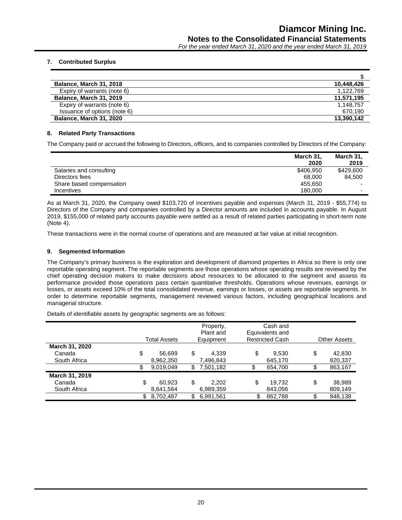*For the year ended March 31, 2020 and the year ended March 31, 2019* 

#### **7. Contributed Surplus**

| Balance, March 31, 2018        | 10,448,426 |
|--------------------------------|------------|
| Expiry of warrants (note 6)    | 1.122.769  |
| <b>Balance, March 31, 2019</b> | 11,571,195 |
| Expiry of warrants (note 6)    | 1.148.757  |
| Issuance of options (note 6)   | 670.190    |
| Balance, March 31, 2020        | 13,390,142 |

#### **8. Related Party Transactions**

The Company paid or accrued the following to Directors, officers, and to companies controlled by Directors of the Company:

|                          | March 31,<br>2020 | March 31,<br>2019 |
|--------------------------|-------------------|-------------------|
| Salaries and consulting  | \$406.950         | \$429,600         |
| Directors fees           | 68,000            | 84,500            |
| Share based compensation | 455,650           |                   |
| Incentives               | 180,000           | -                 |

As at March 31, 2020, the Company owed \$103,720 of incentives payable and expenses (March 31, 2019 - \$55,774) to Directors of the Company and companies controlled by a Director amounts are included in accounts payable. In August 2019, \$155,000 of related party accounts payable were settled as a result of related parties participating in short-term note (Note 4).

These transactions were in the normal course of operations and are measured at fair value at initial recognition.

#### **9. Segmented Information**

The Company's primary business is the exploration and development of diamond properties in Africa so there is only one reportable operating segment. The reportable segments are those operations whose operating results are reviewed by the chief operating decision makers to make decisions about resources to be allocated to the segment and assess its performance provided those operations pass certain quantitative thresholds. Operations whose revenues, earnings or losses, or assets exceed 10% of the total consolidated revenue, earnings or losses, or assets are reportable segments. In order to determine reportable segments, management reviewed various factors, including geographical locations and managerial structure.

Details of identifiable assets by geographic segments are as follows:

|                |    | Total Assets | Property,<br>Plant and<br>Equipment | Cash and<br>Equivalents and<br><b>Restricted Cash</b> | <b>Other Assets</b> |
|----------------|----|--------------|-------------------------------------|-------------------------------------------------------|---------------------|
| March 31, 2020 |    |              |                                     |                                                       |                     |
| Canada         | \$ | 56,699       | \$<br>4.339                         | \$<br>9,530                                           | \$<br>42,830        |
| South Africa   |    | 8,962,350    | 7,496,843                           | 645.170                                               | 820,337             |
|                | ה. | 9,019,049    | \$<br>7,501,182                     | \$<br>654,700                                         | 863,167             |
| March 31, 2019 |    |              |                                     |                                                       |                     |
| Canada         | \$ | 60.923       | \$<br>2.202                         | \$<br>19.732                                          | \$<br>38,989        |
| South Africa   |    | 8.641.564    | 6,989,359                           | 843,056                                               | 809,149             |
|                |    | 8,702,487    | \$<br>6,991,561                     | \$<br>862,788                                         | 848,138             |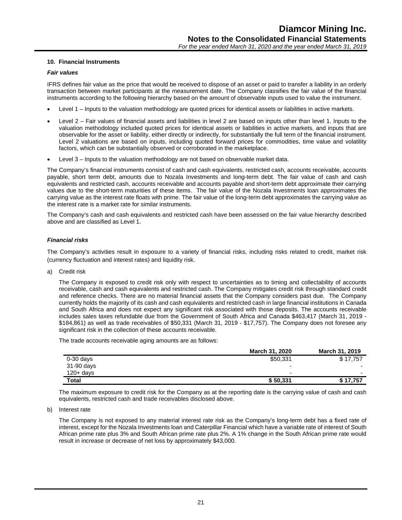#### **10. Financial Instruments**

#### *Fair values*

IFRS defines fair value as the price that would be received to dispose of an asset or paid to transfer a liability in an orderly transaction between market participants at the measurement date. The Company classifies the fair value of the financial instruments according to the following hierarchy based on the amount of observable inputs used to value the instrument.

- Level 1 Inputs to the valuation methodology are quoted prices for identical assets or liabilities in active markets.
- Level 2 Fair values of financial assets and liabilities in level 2 are based on inputs other than level 1. Inputs to the valuation methodology included quoted prices for identical assets or liabilities in active markets, and inputs that are observable for the asset or liability, either directly or indirectly, for substantially the full term of the financial instrument. Level 2 valuations are based on inputs, including quoted forward prices for commodities, time value and volatility factors, which can be substantially observed or corroborated in the marketplace.
- Level 3 Inputs to the valuation methodology are not based on observable market data.

The Company's financial instruments consist of cash and cash equivalents, restricted cash, accounts receivable, accounts payable, short term debt, amounts due to Nozala Investments and long-term debt. The fair value of cash and cash equivalents and restricted cash, accounts receivable and accounts payable and short-term debt approximate their carrying values due to the short-term maturities of these items. The fair value of the Nozala Investments loan approximates the carrying value as the interest rate floats with prime. The fair value of the long-term debt approximates the carrying value as the interest rate is a market rate for similar instruments.

The Company's cash and cash equivalents and restricted cash have been assessed on the fair value hierarchy described above and are classified as Level 1.

#### *Financial risks*

The Company's activities result in exposure to a variety of financial risks, including risks related to credit, market risk (currency fluctuation and interest rates) and liquidity risk.

a) Credit risk

The Company is exposed to credit risk only with respect to uncertainties as to timing and collectability of accounts receivable, cash and cash equivalents and restricted cash. The Company mitigates credit risk through standard credit and reference checks. There are no material financial assets that the Company considers past due. The Company currently holds the majority of its cash and cash equivalents and restricted cash in large financial institutions in Canada and South Africa and does not expect any significant risk associated with those deposits. The accounts receivable includes sales taxes refundable due from the Government of South Africa and Canada \$463,417 (March 31, 2019 - \$184,861) as well as trade receivables of \$50,331 (March 31, 2019 - \$17,757). The Company does not foresee any significant risk in the collection of these accounts receivable.

The trade accounts receivable aging amounts are as follows:

|              | <b>March 31, 2020</b>    | March 31, 2019           |
|--------------|--------------------------|--------------------------|
| $0-30$ days  | \$50,331                 | \$17.757                 |
| 31-90 days   | -                        | -                        |
| $120 + days$ | $\overline{\phantom{0}}$ | $\overline{\phantom{0}}$ |
| <b>Total</b> | \$50.331                 | \$17.757                 |

The maximum exposure to credit risk for the Company as at the reporting date is the carrying value of cash and cash equivalents, restricted cash and trade receivables disclosed above.

b) Interest rate

The Company is not exposed to any material interest rate risk as the Company's long-term debt has a fixed rate of interest, except for the Nozala Investments loan and Caterpillar Financial which have a variable rate of interest of South African prime rate plus 3% and South African prime rate plus 2%. A 1% change in the South African prime rate would result in increase or decrease of net loss by approximately \$43,000.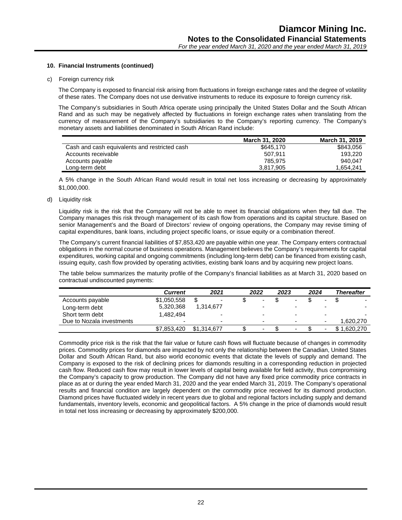#### **10. Financial Instruments (continued)**

#### c) Foreign currency risk

The Company is exposed to financial risk arising from fluctuations in foreign exchange rates and the degree of volatility of these rates. The Company does not use derivative instruments to reduce its exposure to foreign currency risk.

The Company's subsidiaries in South Africa operate using principally the United States Dollar and the South African Rand and as such may be negatively affected by fluctuations in foreign exchange rates when translating from the currency of measurement of the Company's subsidiaries to the Company's reporting currency. The Company's monetary assets and liabilities denominated in South African Rand include:

|                                               | March 31, 2020 | March 31, 2019 |
|-----------------------------------------------|----------------|----------------|
| Cash and cash equivalents and restricted cash | \$645.170      | \$843.056      |
| Accounts receivable                           | 507.911        | 193.220        |
| Accounts payable                              | 785.975        | 940.047        |
| Long-term debt                                | 3,817,905      | 1,654,241      |

A 5% change in the South African Rand would result in total net loss increasing or decreasing by approximately \$1,000,000.

#### d) Liquidity risk

Liquidity risk is the risk that the Company will not be able to meet its financial obligations when they fall due. The Company manages this risk through management of its cash flow from operations and its capital structure. Based on senior Management's and the Board of Directors' review of ongoing operations, the Company may revise timing of capital expenditures, bank loans, including project specific loans, or issue equity or a combination thereof.

The Company's current financial liabilities of \$7,853,420 are payable within one year. The Company enters contractual obligations in the normal course of business operations. Management believes the Company's requirements for capital expenditures, working capital and ongoing commitments (including long-term debt) can be financed from existing cash, issuing equity, cash flow provided by operating activities, existing bank loans and by acquiring new project loans.

The table below summarizes the maturity profile of the Company's financial liabilities as at March 31, 2020 based on contractual undiscounted payments:

|                           | Current     | 2021        | 2022 | 2023 |                          | 2024 |    | Thereafter  |
|---------------------------|-------------|-------------|------|------|--------------------------|------|----|-------------|
| Accounts payable          | \$1,050,558 |             | -    | S    |                          |      | ۰. | ۰D          |
| Long-term debt            | 5.320.368   | 1.314.677   |      |      |                          |      |    |             |
| Short term debt           | 1.482.494   |             |      |      |                          |      | -  |             |
| Due to Nozala investments | -           | -           | -    |      | $\overline{\phantom{0}}$ |      | -  | 1.620.270   |
|                           | \$7,853,420 | \$1,314,677 |      |      |                          |      | ۰  | \$1,620,270 |

Commodity price risk is the risk that the fair value or future cash flows will fluctuate because of changes in commodity prices. Commodity prices for diamonds are impacted by not only the relationship between the Canadian, United States Dollar and South African Rand, but also world economic events that dictate the levels of supply and demand. The Company is exposed to the risk of declining prices for diamonds resulting in a corresponding reduction in projected cash flow. Reduced cash flow may result in lower levels of capital being available for field activity, thus compromising the Company's capacity to grow production. The Company did not have any fixed price commodity price contracts in place as at or during the year ended March 31, 2020 and the year ended March 31, 2019. The Company's operational results and financial condition are largely dependent on the commodity price received for its diamond production. Diamond prices have fluctuated widely in recent years due to global and regional factors including supply and demand fundamentals, inventory levels, economic and geopolitical factors. A 5% change in the price of diamonds would result in total net loss increasing or decreasing by approximately \$200,000.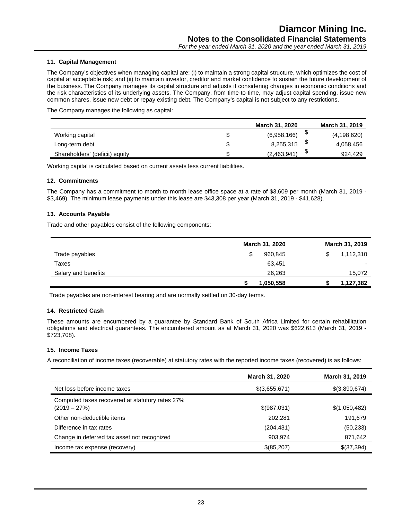#### **11. Capital Management**

The Company's objectives when managing capital are: (i) to maintain a strong capital structure, which optimizes the cost of capital at acceptable risk; and (ii) to maintain investor, creditor and market confidence to sustain the future development of the business. The Company manages its capital structure and adjusts it considering changes in economic conditions and the risk characteristics of its underlying assets. The Company, from time-to-time, may adjust capital spending, issue new common shares, issue new debt or repay existing debt. The Company's capital is not subject to any restrictions.

The Company manages the following as capital:

|                                | March 31, 2020    | <b>March 31, 2019</b> |
|--------------------------------|-------------------|-----------------------|
| Working capital                | \$<br>(6,958,166) | (4, 198, 620)         |
| Long-term debt                 | \$<br>8,255,315   | 4,058,456             |
| Shareholders' (deficit) equity | \$<br>(2,463,941) | 924,429               |

Working capital is calculated based on current assets less current liabilities.

#### **12. Commitments**

The Company has a commitment to month to month lease office space at a rate of \$3,609 per month (March 31, 2019 - \$3,469). The minimum lease payments under this lease are \$43,308 per year (March 31, 2019 - \$41,628).

#### **13. Accounts Payable**

Trade and other payables consist of the following components:

|                     | March 31, 2020 | <b>March 31, 2019</b>    |
|---------------------|----------------|--------------------------|
| Trade payables      | S<br>960,845   | 1,112,310<br>S           |
| Taxes               | 63,451         | $\overline{\phantom{a}}$ |
| Salary and benefits | 26,263         | 15,072                   |
|                     | 1,050,558      | 1,127,382                |

Trade payables are non-interest bearing and are normally settled on 30-day terms.

#### **14. Restricted Cash**

These amounts are encumbered by a guarantee by Standard Bank of South Africa Limited for certain rehabilitation obligations and electrical guarantees. The encumbered amount as at March 31, 2020 was \$622,613 (March 31, 2019 - \$723,708).

#### **15. Income Taxes**

A reconciliation of income taxes (recoverable) at statutory rates with the reported income taxes (recovered) is as follows:

|                                                                   | March 31, 2020 | <b>March 31, 2019</b> |
|-------------------------------------------------------------------|----------------|-----------------------|
| Net loss before income taxes                                      | \$(3,655,671)  | \$(3,890,674)         |
| Computed taxes recovered at statutory rates 27%<br>$(2019 - 27%)$ | \$(987,031)    | \$(1,050,482)         |
| Other non-deductible items                                        | 202.281        | 191,679               |
| Difference in tax rates                                           | (204,431)      | (50, 233)             |
| Change in deferred tax asset not recognized                       | 903.974        | 871,642               |
| Income tax expense (recovery)                                     | \$(85,207)     | \$(37,394)            |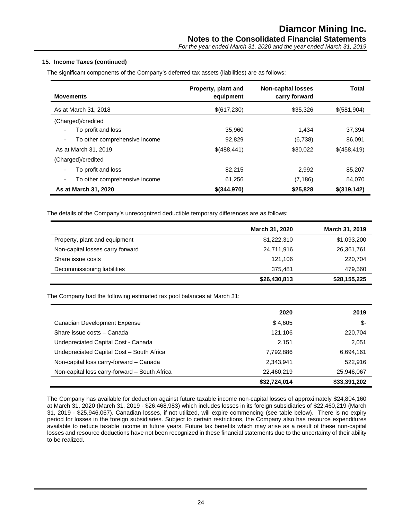#### **15. Income Taxes (continued)**

The significant components of the Company's deferred tax assets (liabilities) are as follows:

| <b>Movements</b>                                          | Property, plant and<br>equipment | <b>Non-capital losses</b><br>carry forward | Total         |
|-----------------------------------------------------------|----------------------------------|--------------------------------------------|---------------|
| As at March 31, 2018                                      | \$(617,230)                      | \$35,326                                   | \$(581,904)   |
| (Charged)/credited                                        |                                  |                                            |               |
| To profit and loss<br>$\overline{\phantom{a}}$            | 35,960                           | 1.434                                      | 37.394        |
| To other comprehensive income<br>$\overline{\phantom{a}}$ | 92,829                           | (6,738)                                    | 86,091        |
| As at March 31, 2019                                      | \$ (488, 441)                    | \$30,022                                   | $$$ (458,419) |
| (Charged)/credited                                        |                                  |                                            |               |
| To profit and loss<br>$\overline{\phantom{a}}$            | 82.215                           | 2.992                                      | 85.207        |
| To other comprehensive income<br>$\overline{\phantom{a}}$ | 61,256                           | (7, 186)                                   | 54,070        |
| As at March 31, 2020                                      | \$(344,970)                      | \$25,828                                   | $$$ (319,142) |

The details of the Company's unrecognized deductible temporary differences are as follows:

|                                  | March 31, 2020 | March 31, 2019 |
|----------------------------------|----------------|----------------|
| Property, plant and equipment    | \$1,222,310    | \$1,093,200    |
| Non-capital losses carry forward | 24,711,916     | 26,361,761     |
| Share issue costs                | 121.106        | 220,704        |
| Decommissioning liabilities      | 375.481        | 479,560        |
|                                  | \$26,430,813   | \$28,155,225   |

The Company had the following estimated tax pool balances at March 31:

|                                               | 2020         | 2019         |
|-----------------------------------------------|--------------|--------------|
| Canadian Development Expense                  | \$4,605      | \$-          |
| Share issue costs - Canada                    | 121.106      | 220,704      |
| Undepreciated Capital Cost - Canada           | 2,151        | 2,051        |
| Undepreciated Capital Cost - South Africa     | 7,792,886    | 6,694,161    |
| Non-capital loss carry-forward - Canada       | 2,343,941    | 522.916      |
| Non-capital loss carry-forward - South Africa | 22,460,219   | 25,946,067   |
|                                               | \$32,724,014 | \$33,391,202 |

The Company has available for deduction against future taxable income non-capital losses of approximately \$24,804,160 at March 31, 2020 (March 31, 2019 - \$26,468,983) which includes losses in its foreign subsidiaries of \$22,460,219 (March 31, 2019 - \$25,946,067). Canadian losses, if not utilized, will expire commencing (see table below). There is no expiry period for losses in the foreign subsidiaries. Subject to certain restrictions, the Company also has resource expenditures available to reduce taxable income in future years. Future tax benefits which may arise as a result of these non-capital losses and resource deductions have not been recognized in these financial statements due to the uncertainty of their ability to be realized.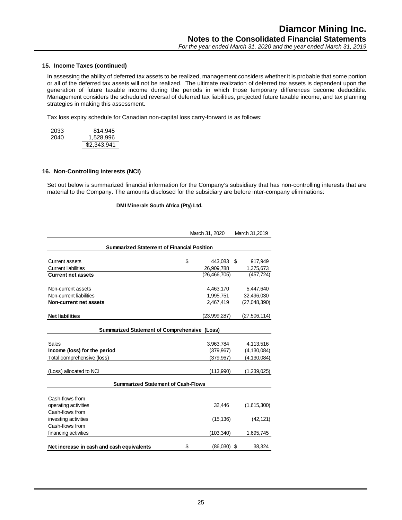#### **15. Income Taxes (continued)**

In assessing the ability of deferred tax assets to be realized, management considers whether it is probable that some portion or all of the deferred tax assets will not be realized. The ultimate realization of deferred tax assets is dependent upon the generation of future taxable income during the periods in which those temporary differences become deductible. Management considers the scheduled reversal of deferred tax liabilities, projected future taxable income, and tax planning strategies in making this assessment.

Tax loss expiry schedule for Canadian non-capital loss carry-forward is as follows:

| 2033 | 814,945     |
|------|-------------|
| 2040 | 1,528,996   |
|      | \$2,343,941 |

#### **16. Non-Controlling Interests (NCI)**

Set out below is summarized financial information for the Company's subsidiary that has non-controlling interests that are material to the Company. The amounts disclosed for the subsidiary are before inter-company eliminations:

#### **DMI Minerals South Africa (Pty) Ltd.**

|                                                     | March 31, 2020      | March 31,2019  |
|-----------------------------------------------------|---------------------|----------------|
| <b>Summarized Statement of Financial Position</b>   |                     |                |
| <b>Current assets</b>                               | \$<br>443,083       | \$<br>917,949  |
| <b>Current liabilities</b>                          | 26,909,788          | 1,375,673      |
| <b>Current net assets</b>                           | (26, 466, 705)      | (457, 724)     |
| Non-current assets                                  | 4,463,170           | 5,447,640      |
| Non-current liabilities                             | 1,995,751           | 32,496,030     |
| Non-current net assets                              | 2,467,419           | (27,048,390)   |
| <b>Net liabilities</b>                              | (23,999,287)        | (27, 506, 114) |
| <b>Summarized Statement of Comprehensive (Loss)</b> |                     |                |
| Sales                                               | 3,963,784           | 4,113,516      |
| Income (loss) for the period                        | (379,967)           | (4, 130, 084)  |
| Total comprehensive (loss)                          | (379, 967)          | (4, 130, 084)  |
| (Loss) allocated to NCI                             | (113,990)           | (1,239,025)    |
| <b>Summarized Statement of Cash-Flows</b>           |                     |                |
| Cash-flows from                                     |                     |                |
| operating activities                                | 32,446              | (1,615,300)    |
| Cash-flows from                                     |                     |                |
| investing activities                                | (15, 136)           | (42, 121)      |
| Cash-flows from                                     |                     |                |
| financing activities                                | (103, 340)          | 1,695,745      |
| Net increase in cash and cash equivalents           | \$<br>$(86,030)$ \$ | 38,324         |